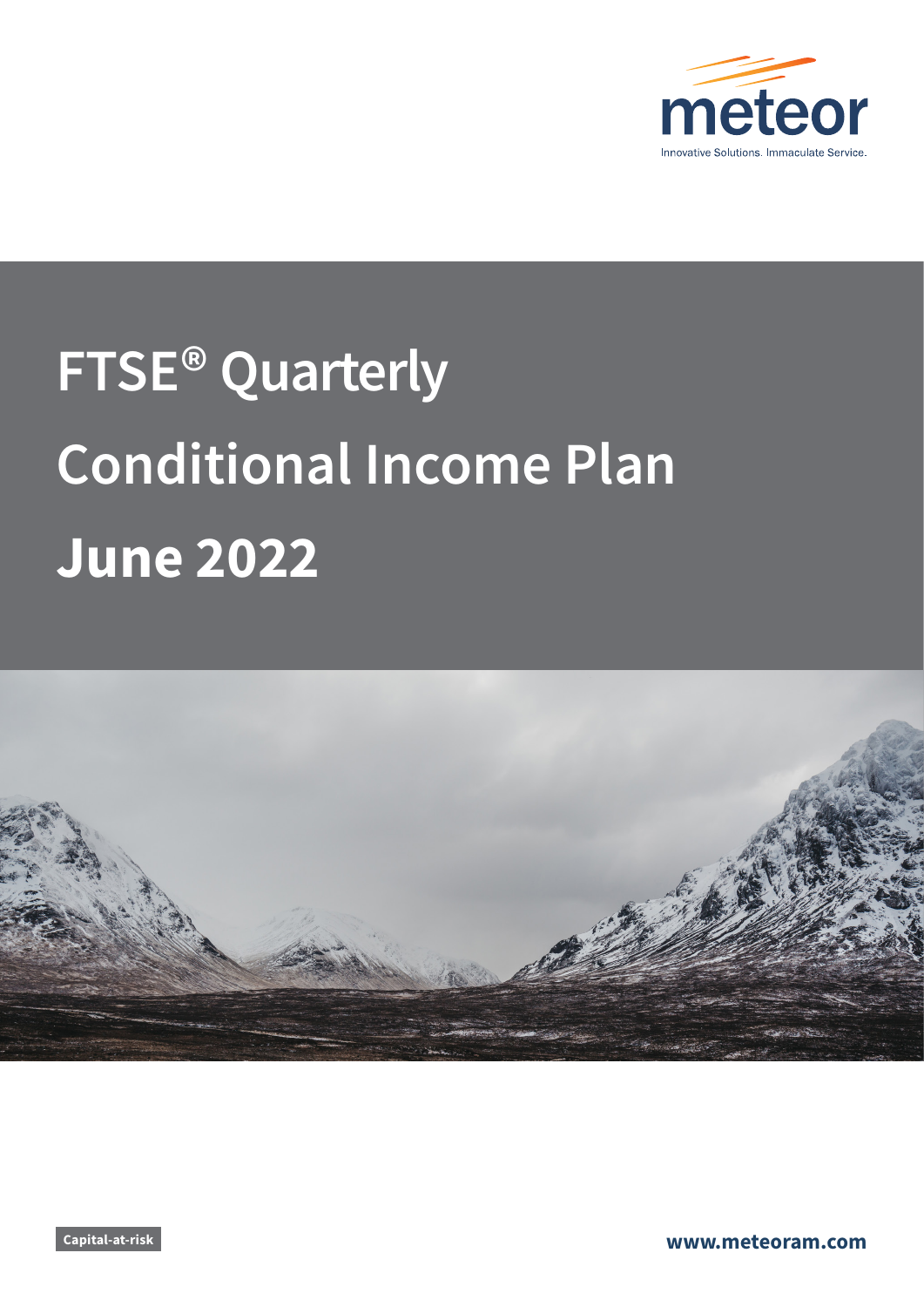

# **FTSE® Quarterly Conditional Income Plan June 2022**



**Capital-at-risk www.meteoram.com**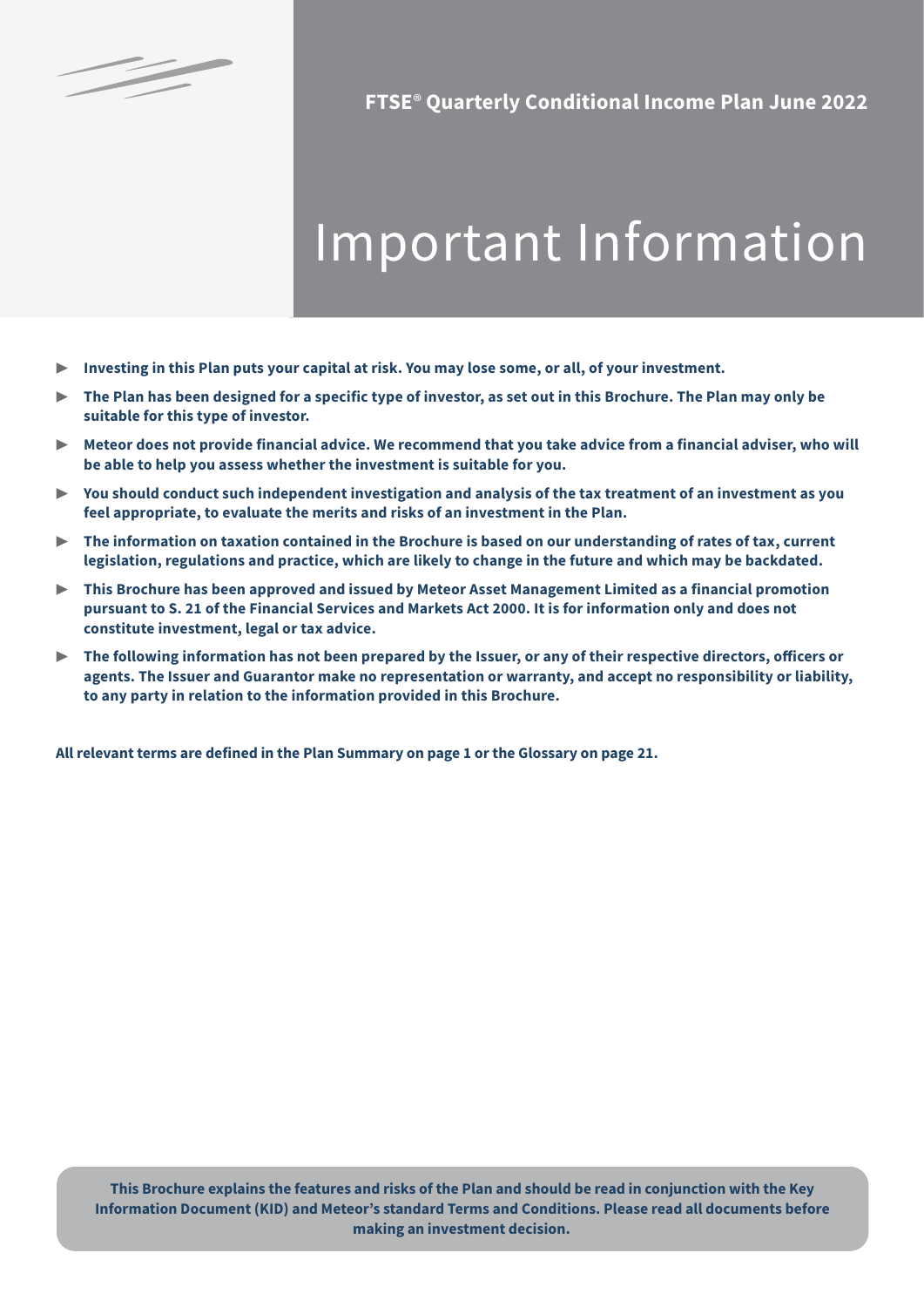

§

**FTSE**® **Quarterly Conditional Income Plan June 2022**

# Important Information

- ▶ **Investing in this Plan puts your capital at risk. You may lose some, or all, of your investment.**
- ▶ **The Plan has been designed for a specific type of investor, as set out in this Brochure. The Plan may only be suitable for this type of investor.**
- ▶ **Meteor does not provide financial advice. We recommend that you take advice from a financial adviser, who will be able to help you assess whether the investment is suitable for you.**
- ▶ **You should conduct such independent investigation and analysis of the tax treatment of an investment as you feel appropriate, to evaluate the merits and risks of an investment in the Plan.**
- ▶ **The information on taxation contained in the Brochure is based on our understanding of rates of tax, current legislation, regulations and practice, which are likely to change in the future and which may be backdated.**
- ▶ **This Brochure has been approved and issued by Meteor Asset Management Limited as a financial promotion pursuant to S. 21 of the Financial Services and Markets Act 2000. It is for information only and does not constitute investment, legal or tax advice.**
- ▶ **The following information has not been prepared by the Issuer, or any of their respective directors, officers or agents. The Issuer and Guarantor make no representation or warranty, and accept no responsibility or liability, to any party in relation to the information provided in this Brochure.**

**All relevant terms are defined in the Plan Summary on page 1 or the Glossary on page 21.**

**This Brochure explains the features and risks of the Plan and should be read in conjunction with the Key Information Document (KID) and Meteor's standard Terms and Conditions. Please read all documents before making an investment decision.**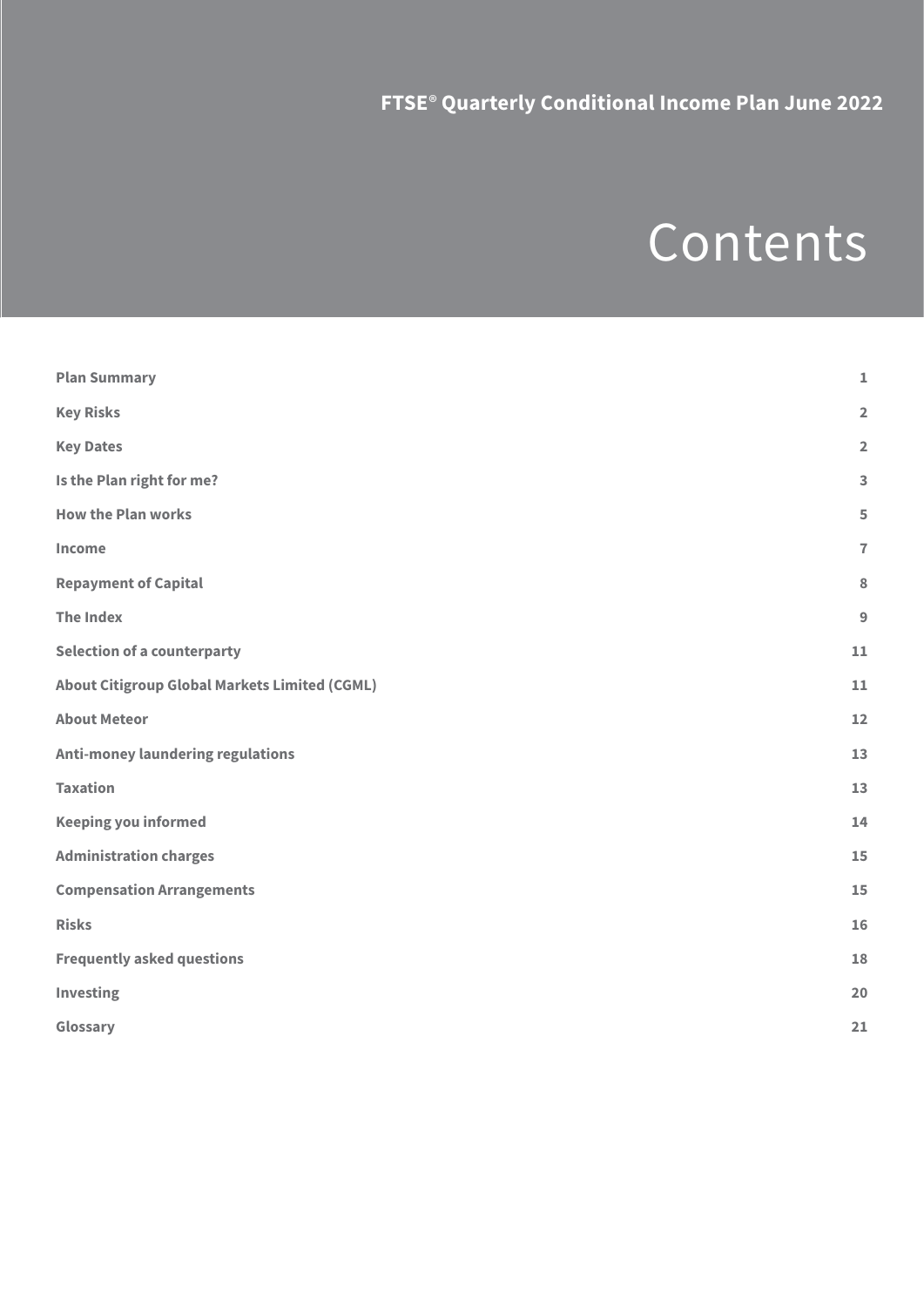# Contents

| <b>Plan Summary</b>                                  | $\mathbf 1$             |
|------------------------------------------------------|-------------------------|
| <b>Key Risks</b>                                     | $\overline{\mathbf{2}}$ |
| <b>Key Dates</b>                                     | $\overline{\mathbf{2}}$ |
| Is the Plan right for me?                            | 3                       |
| <b>How the Plan works</b>                            | 5                       |
| Income                                               | $\overline{7}$          |
| <b>Repayment of Capital</b>                          | 8                       |
| <b>The Index</b>                                     | 9                       |
| <b>Selection of a counterparty</b>                   | 11                      |
| <b>About Citigroup Global Markets Limited (CGML)</b> | 11                      |
| <b>About Meteor</b>                                  | 12                      |
| <b>Anti-money laundering regulations</b>             | 13                      |
| <b>Taxation</b>                                      | 13                      |
| <b>Keeping you informed</b>                          | 14                      |
| <b>Administration charges</b>                        | 15                      |
| <b>Compensation Arrangements</b>                     | 15                      |
| <b>Risks</b>                                         | 16                      |
| <b>Frequently asked questions</b>                    | 18                      |
| Investing                                            | 20                      |
| Glossary                                             | 21                      |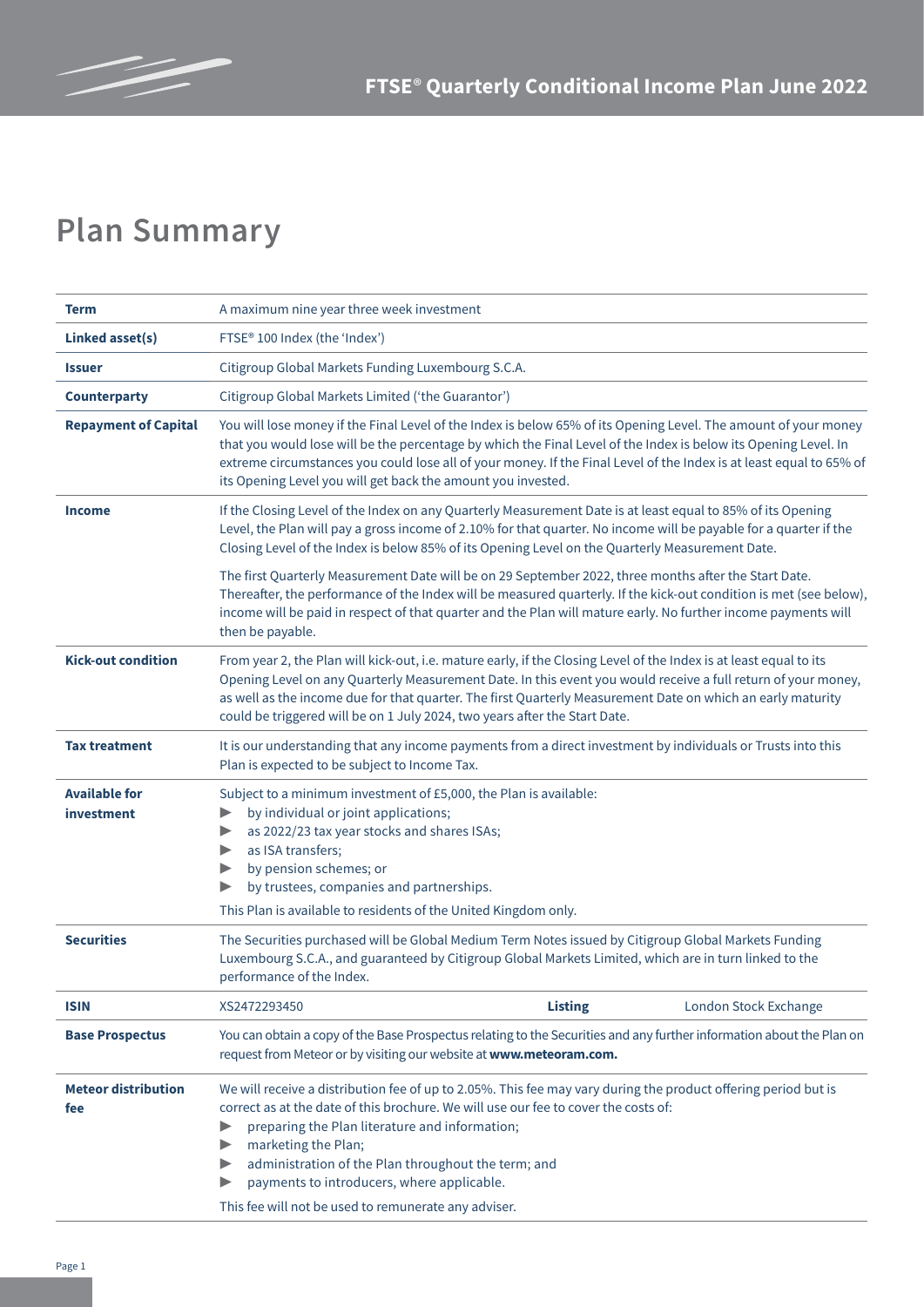

# **Plan Summary**

| Term                               | A maximum nine year three week investment                                                                                                                                                                                                                                                                                                                                                                                                        |                |                       |  |
|------------------------------------|--------------------------------------------------------------------------------------------------------------------------------------------------------------------------------------------------------------------------------------------------------------------------------------------------------------------------------------------------------------------------------------------------------------------------------------------------|----------------|-----------------------|--|
| <b>Linked asset(s)</b>             | FTSE <sup>®</sup> 100 Index (the 'Index')                                                                                                                                                                                                                                                                                                                                                                                                        |                |                       |  |
| <b>Issuer</b>                      | Citigroup Global Markets Funding Luxembourg S.C.A.                                                                                                                                                                                                                                                                                                                                                                                               |                |                       |  |
| <b>Counterparty</b>                | Citigroup Global Markets Limited ('the Guarantor')                                                                                                                                                                                                                                                                                                                                                                                               |                |                       |  |
| <b>Repayment of Capital</b>        | You will lose money if the Final Level of the Index is below 65% of its Opening Level. The amount of your money<br>that you would lose will be the percentage by which the Final Level of the Index is below its Opening Level. In<br>extreme circumstances you could lose all of your money. If the Final Level of the Index is at least equal to 65% of<br>its Opening Level you will get back the amount you invested.                        |                |                       |  |
| <b>Income</b>                      | If the Closing Level of the Index on any Quarterly Measurement Date is at least equal to 85% of its Opening<br>Level, the Plan will pay a gross income of 2.10% for that quarter. No income will be payable for a quarter if the<br>Closing Level of the Index is below 85% of its Opening Level on the Quarterly Measurement Date.                                                                                                              |                |                       |  |
|                                    | The first Quarterly Measurement Date will be on 29 September 2022, three months after the Start Date.<br>Thereafter, the performance of the Index will be measured quarterly. If the kick-out condition is met (see below),<br>income will be paid in respect of that quarter and the Plan will mature early. No further income payments will<br>then be payable.                                                                                |                |                       |  |
| <b>Kick-out condition</b>          | From year 2, the Plan will kick-out, i.e. mature early, if the Closing Level of the Index is at least equal to its<br>Opening Level on any Quarterly Measurement Date. In this event you would receive a full return of your money,<br>as well as the income due for that quarter. The first Quarterly Measurement Date on which an early maturity<br>could be triggered will be on 1 July 2024, two years after the Start Date.                 |                |                       |  |
| <b>Tax treatment</b>               | It is our understanding that any income payments from a direct investment by individuals or Trusts into this<br>Plan is expected to be subject to Income Tax.                                                                                                                                                                                                                                                                                    |                |                       |  |
| <b>Available for</b><br>investment | Subject to a minimum investment of £5,000, the Plan is available:<br>by individual or joint applications;<br>▶<br>as 2022/23 tax year stocks and shares ISAs;<br>▶<br>as ISA transfers;<br>▶<br>by pension schemes; or<br>▶<br>by trustees, companies and partnerships.<br>This Plan is available to residents of the United Kingdom only.                                                                                                       |                |                       |  |
| <b>Securities</b>                  | The Securities purchased will be Global Medium Term Notes issued by Citigroup Global Markets Funding<br>Luxembourg S.C.A., and guaranteed by Citigroup Global Markets Limited, which are in turn linked to the<br>performance of the Index.                                                                                                                                                                                                      |                |                       |  |
| <b>ISIN</b>                        | XS2472293450                                                                                                                                                                                                                                                                                                                                                                                                                                     | <b>Listing</b> | London Stock Exchange |  |
| <b>Base Prospectus</b>             | You can obtain a copy of the Base Prospectus relating to the Securities and any further information about the Plan on<br>request from Meteor or by visiting our website at www.meteoram.com.                                                                                                                                                                                                                                                     |                |                       |  |
| <b>Meteor distribution</b><br>fee  | We will receive a distribution fee of up to 2.05%. This fee may vary during the product offering period but is<br>correct as at the date of this brochure. We will use our fee to cover the costs of:<br>preparing the Plan literature and information;<br>marketing the Plan;<br>▶<br>administration of the Plan throughout the term; and<br>payments to introducers, where applicable.<br>This fee will not be used to remunerate any adviser. |                |                       |  |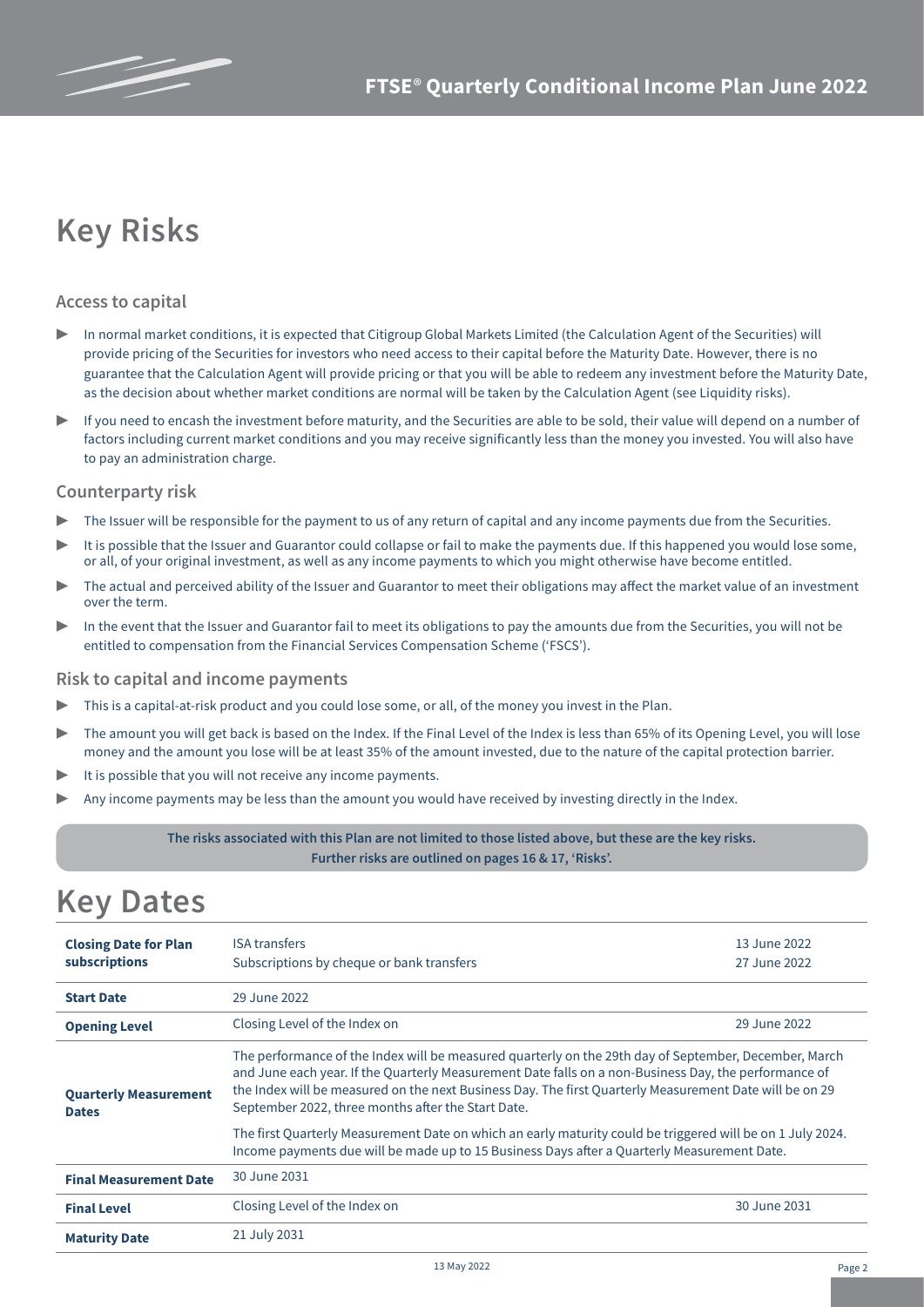# **Key Risks**

### **Access to capital**

- In normal market conditions, it is expected that Citigroup Global Markets Limited (the Calculation Agent of the Securities) will provide pricing of the Securities for investors who need access to their capital before the Maturity Date. However, there is no guarantee that the Calculation Agent will provide pricing or that you will be able to redeem any investment before the Maturity Date, as the decision about whether market conditions are normal will be taken by the Calculation Agent (see Liquidity risks).
- ▶ If you need to encash the investment before maturity, and the Securities are able to be sold, their value will depend on a number of factors including current market conditions and you may receive significantly less than the money you invested. You will also have to pay an administration charge.

#### **Counterparty risk**

- The Issuer will be responsible for the payment to us of any return of capital and any income payments due from the Securities.
- It is possible that the Issuer and Guarantor could collapse or fail to make the payments due. If this happened you would lose some, or all, of your original investment, as well as any income payments to which you might otherwise have become entitled.
- The actual and perceived ability of the Issuer and Guarantor to meet their obligations may affect the market value of an investment over the term.
- In the event that the Issuer and Guarantor fail to meet its obligations to pay the amounts due from the Securities, you will not be entitled to compensation from the Financial Services Compensation Scheme ('FSCS').

#### **Risk to capital and income payments**

- This is a capital-at-risk product and you could lose some, or all, of the money you invest in the Plan.
- The amount you will get back is based on the Index. If the Final Level of the Index is less than 65% of its Opening Level, you will lose money and the amount you lose will be at least 35% of the amount invested, due to the nature of the capital protection barrier.
- It is possible that you will not receive any income payments.
- Any income payments may be less than the amount you would have received by investing directly in the Index.

#### **The risks associated with this Plan are not limited to those listed above, but these are the key risks. Further risks are outlined on pages 16 & 17, 'Risks'.**

### **Key Dates**

| <b>Closing Date for Plan</b><br>subscriptions | <b>ISA transfers</b><br>Subscriptions by cheque or bank transfers                                                                                                                                                                                                                                                                                                                                                                                                                                                                                                                            | 13 June 2022<br>27 June 2022 |  |  |  |
|-----------------------------------------------|----------------------------------------------------------------------------------------------------------------------------------------------------------------------------------------------------------------------------------------------------------------------------------------------------------------------------------------------------------------------------------------------------------------------------------------------------------------------------------------------------------------------------------------------------------------------------------------------|------------------------------|--|--|--|
| <b>Start Date</b>                             | 29 June 2022                                                                                                                                                                                                                                                                                                                                                                                                                                                                                                                                                                                 |                              |  |  |  |
| <b>Opening Level</b>                          | Closing Level of the Index on<br>29 June 2022                                                                                                                                                                                                                                                                                                                                                                                                                                                                                                                                                |                              |  |  |  |
| <b>Quarterly Measurement</b><br><b>Dates</b>  | The performance of the Index will be measured quarterly on the 29th day of September, December, March<br>and June each year. If the Quarterly Measurement Date falls on a non-Business Day, the performance of<br>the Index will be measured on the next Business Day. The first Quarterly Measurement Date will be on 29<br>September 2022, three months after the Start Date.<br>The first Quarterly Measurement Date on which an early maturity could be triggered will be on 1 July 2024.<br>Income payments due will be made up to 15 Business Days after a Quarterly Measurement Date. |                              |  |  |  |
| <b>Final Measurement Date</b>                 | 30 June 2031                                                                                                                                                                                                                                                                                                                                                                                                                                                                                                                                                                                 |                              |  |  |  |
| <b>Final Level</b>                            | Closing Level of the Index on                                                                                                                                                                                                                                                                                                                                                                                                                                                                                                                                                                | 30 June 2031                 |  |  |  |
| <b>Maturity Date</b>                          | 21 July 2031                                                                                                                                                                                                                                                                                                                                                                                                                                                                                                                                                                                 |                              |  |  |  |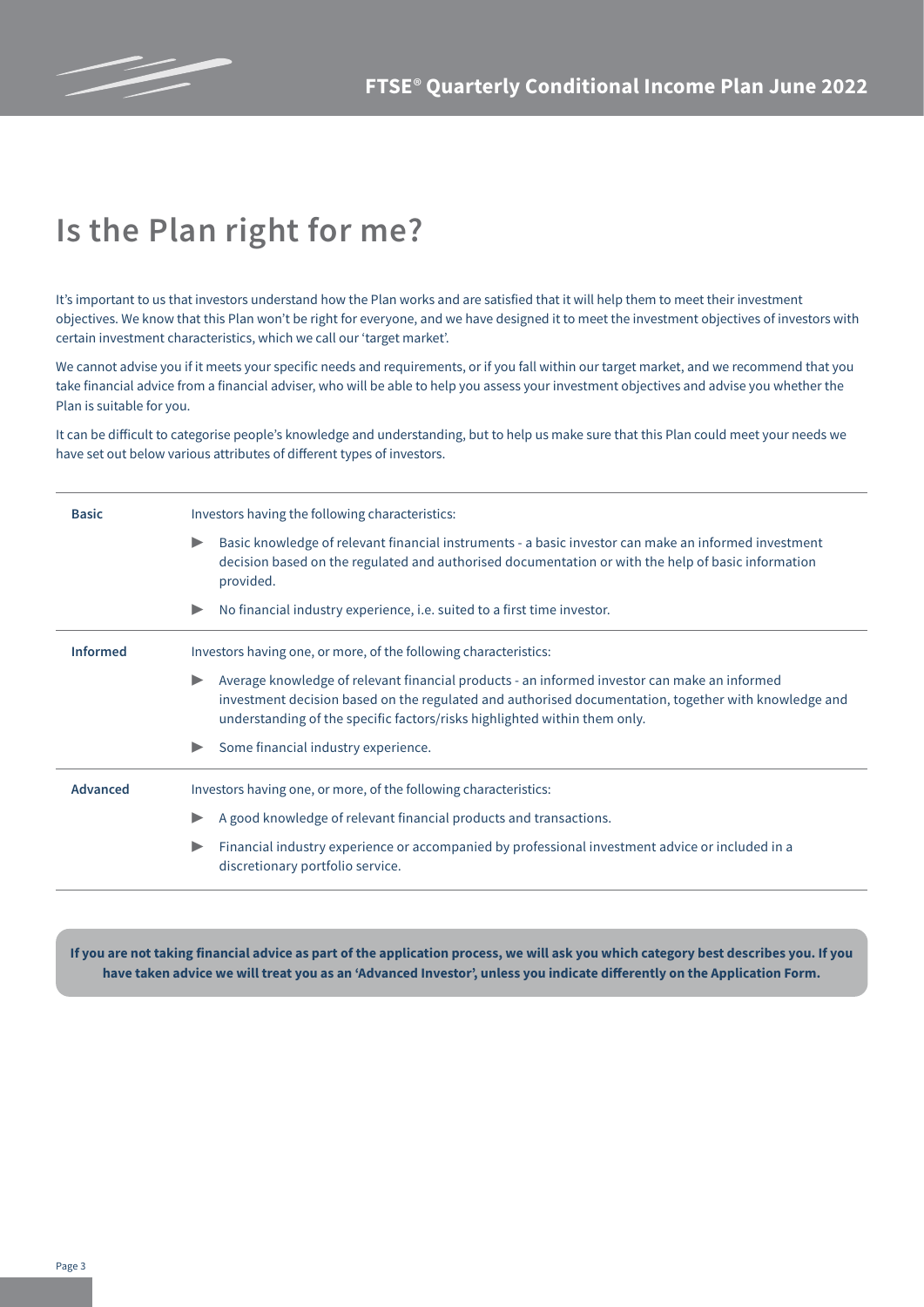

# **Is the Plan right for me?**

It's important to us that investors understand how the Plan works and are satisfied that it will help them to meet their investment objectives. We know that this Plan won't be right for everyone, and we have designed it to meet the investment objectives of investors with certain investment characteristics, which we call our 'target market'.

We cannot advise you if it meets your specific needs and requirements, or if you fall within our target market, and we recommend that you take financial advice from a financial adviser, who will be able to help you assess your investment objectives and advise you whether the Plan is suitable for you.

It can be difficult to categorise people's knowledge and understanding, but to help us make sure that this Plan could meet your needs we have set out below various attributes of different types of investors.

| <b>Basic</b>    | Investors having the following characteristics:                                                                                                                                                                                                                                                            |  |  |  |  |
|-----------------|------------------------------------------------------------------------------------------------------------------------------------------------------------------------------------------------------------------------------------------------------------------------------------------------------------|--|--|--|--|
|                 | Basic knowledge of relevant financial instruments - a basic investor can make an informed investment<br>$\blacktriangleright$<br>decision based on the regulated and authorised documentation or with the help of basic information<br>provided.                                                           |  |  |  |  |
|                 | No financial industry experience, i.e. suited to a first time investor.<br>$\blacktriangleright$                                                                                                                                                                                                           |  |  |  |  |
| <b>Informed</b> | Investors having one, or more, of the following characteristics:                                                                                                                                                                                                                                           |  |  |  |  |
|                 | Average knowledge of relevant financial products - an informed investor can make an informed<br>$\blacktriangleright$<br>investment decision based on the regulated and authorised documentation, together with knowledge and<br>understanding of the specific factors/risks highlighted within them only. |  |  |  |  |
|                 | Some financial industry experience.                                                                                                                                                                                                                                                                        |  |  |  |  |
| <b>Advanced</b> | Investors having one, or more, of the following characteristics:                                                                                                                                                                                                                                           |  |  |  |  |
|                 | A good knowledge of relevant financial products and transactions.<br>$\blacktriangleright$                                                                                                                                                                                                                 |  |  |  |  |
|                 | Financial industry experience or accompanied by professional investment advice or included in a<br>discretionary portfolio service.                                                                                                                                                                        |  |  |  |  |

**If you are not taking financial advice as part of the application process, we will ask you which category best describes you. If you have taken advice we will treat you as an 'Advanced Investor', unless you indicate differently on the Application Form.**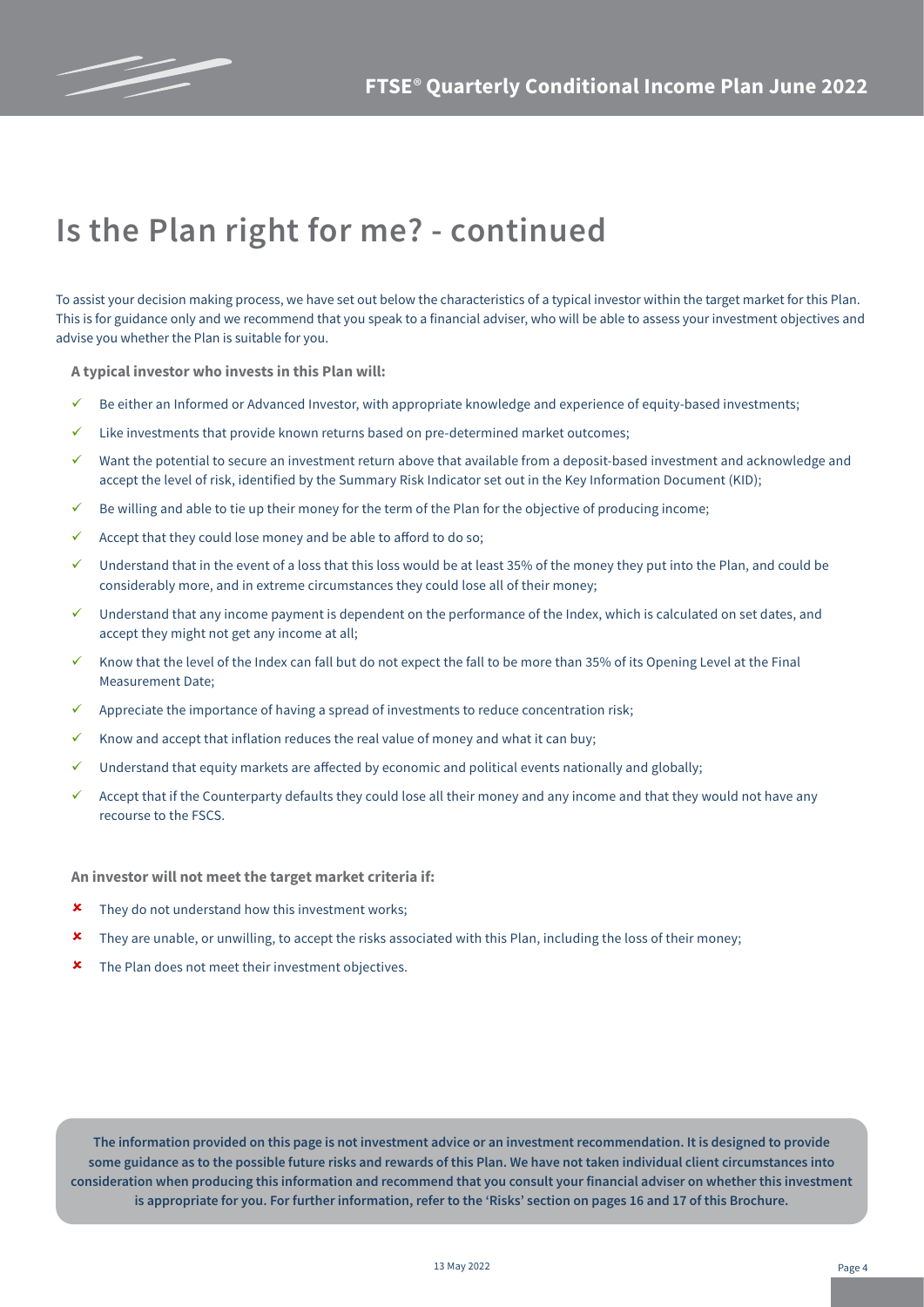

# **Is the Plan right for me? - continued**

To assist your decision making process, we have set out below the characteristics of a typical investor within the target market for this Plan. This is for guidance only and we recommend that you speak to a financial adviser, who will be able to assess your investment objectives and advise you whether the Plan is suitable for you.

**A typical investor who invests in this Plan will:**

- $\checkmark$  Be either an Informed or Advanced Investor, with appropriate knowledge and experience of equity-based investments;
- $\checkmark$  Like investments that provide known returns based on pre-determined market outcomes;
- $\checkmark$  Want the potential to secure an investment return above that available from a deposit-based investment and acknowledge and accept the level of risk, identified by the Summary Risk Indicator set out in the Key Information Document (KID);
- Be willing and able to tie up their money for the term of the Plan for the objective of producing income;
- $\checkmark$  Accept that they could lose money and be able to afford to do so;
- ü Understand that in the event of a loss that this loss would be at least 35% of the money they put into the Plan, and could be considerably more, and in extreme circumstances they could lose all of their money;
- ü Understand that any income payment is dependent on the performance of the Index, which is calculated on set dates, and accept they might not get any income at all;
- Know that the level of the Index can fall but do not expect the fall to be more than 35% of its Opening Level at the Final Measurement Date;
- ü Appreciate the importance of having a spread of investments to reduce concentration risk;
- Know and accept that inflation reduces the real value of money and what it can buy;
- $\checkmark$  Understand that equity markets are affected by economic and political events nationally and globally;
- $\checkmark$  Accept that if the Counterparty defaults they could lose all their money and any income and that they would not have any recourse to the FSCS.

**An investor will not meet the target market criteria if:**

- $\star$  They do not understand how this investment works;
- û They are unable, or unwilling, to accept the risks associated with this Plan, including the loss of their money;
- $\boldsymbol{\ast}$  The Plan does not meet their investment objectives.

**The information provided on this page is not investment advice or an investment recommendation. It is designed to provide some guidance as to the possible future risks and rewards of this Plan. We have not taken individual client circumstances into consideration when producing this information and recommend that you consult your financial adviser on whether this investment is appropriate for you. For further information, refer to the 'Risks' section on pages 16 and 17 of this Brochure.**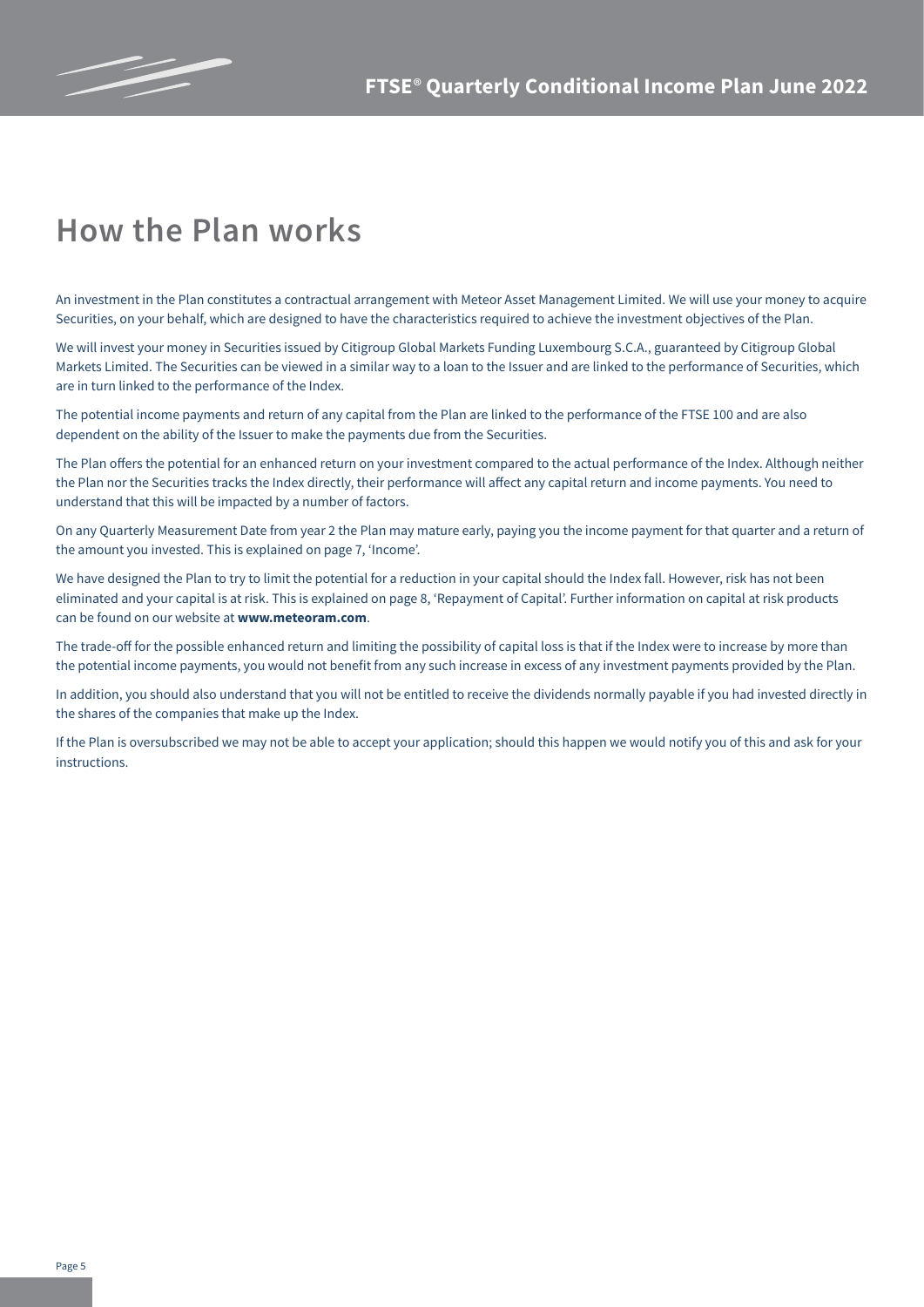

## **How the Plan works**

An investment in the Plan constitutes a contractual arrangement with Meteor Asset Management Limited. We will use your money to acquire Securities, on your behalf, which are designed to have the characteristics required to achieve the investment objectives of the Plan.

We will invest your money in Securities issued by Citigroup Global Markets Funding Luxembourg S.C.A., guaranteed by Citigroup Global Markets Limited. The Securities can be viewed in a similar way to a loan to the Issuer and are linked to the performance of Securities, which are in turn linked to the performance of the Index.

The potential income payments and return of any capital from the Plan are linked to the performance of the FTSE 100 and are also dependent on the ability of the Issuer to make the payments due from the Securities.

The Plan offers the potential for an enhanced return on your investment compared to the actual performance of the Index. Although neither the Plan nor the Securities tracks the Index directly, their performance will affect any capital return and income payments. You need to understand that this will be impacted by a number of factors.

On any Quarterly Measurement Date from year 2 the Plan may mature early, paying you the income payment for that quarter and a return of the amount you invested. This is explained on page 7, 'Income'.

We have designed the Plan to try to limit the potential for a reduction in your capital should the Index fall. However, risk has not been eliminated and your capital is at risk. This is explained on page 8, 'Repayment of Capital'. Further information on capital at risk products can be found on our website at **www.meteoram.com**.

The trade-off for the possible enhanced return and limiting the possibility of capital loss is that if the Index were to increase by more than the potential income payments, you would not benefit from any such increase in excess of any investment payments provided by the Plan.

In addition, you should also understand that you will not be entitled to receive the dividends normally payable if you had invested directly in the shares of the companies that make up the Index.

If the Plan is oversubscribed we may not be able to accept your application; should this happen we would notify you of this and ask for your instructions.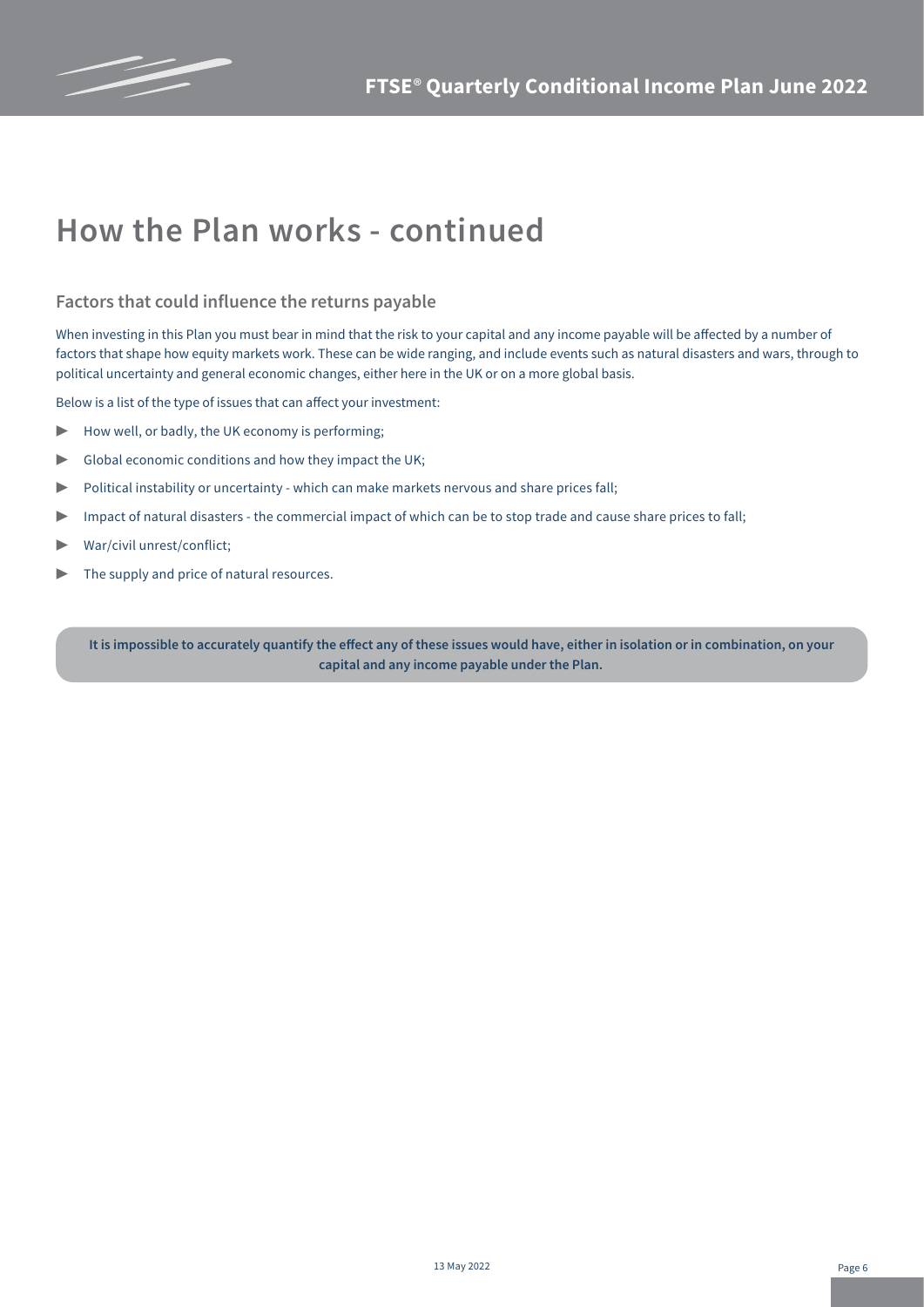

## **How the Plan works - continued**

#### **Factors that could influence the returns payable**

When investing in this Plan you must bear in mind that the risk to your capital and any income payable will be affected by a number of factors that shape how equity markets work. These can be wide ranging, and include events such as natural disasters and wars, through to political uncertainty and general economic changes, either here in the UK or on a more global basis.

Below is a list of the type of issues that can affect your investment:

- $\blacktriangleright$  How well, or badly, the UK economy is performing;
- $\triangleright$  Global economic conditions and how they impact the UK;
- ▶ Political instability or uncertainty which can make markets nervous and share prices fall;
- ▶ Impact of natural disasters the commercial impact of which can be to stop trade and cause share prices to fall;
- ▶ War/civil unrest/conflict;
- The supply and price of natural resources.

**It is impossible to accurately quantify the effect any of these issues would have, either in isolation or in combination, on your capital and any income payable under the Plan.**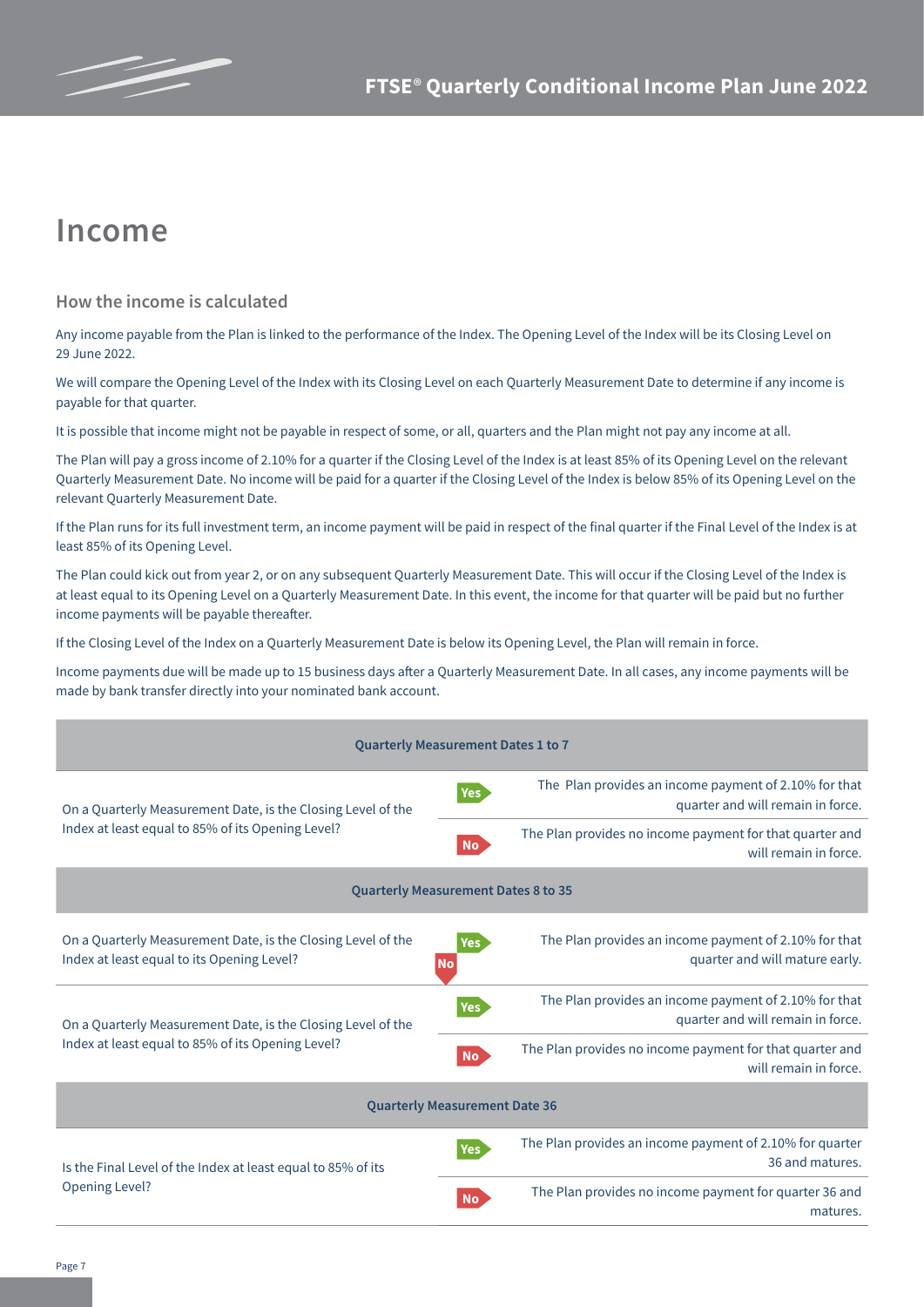

### **Income**

#### **How the income is calculated**

Any income payable from the Plan is linked to the performance of the Index. The Opening Level of the Index will be its Closing Level on 29 June 2022.

We will compare the Opening Level of the Index with its Closing Level on each Quarterly Measurement Date to determine if any income is payable for that quarter.

It is possible that income might not be payable in respect of some, or all, quarters and the Plan might not pay any income at all.

The Plan will pay a gross income of 2.10% for a quarter if the Closing Level of the Index is at least 85% of its Opening Level on the relevant Quarterly Measurement Date. No income will be paid for a quarter if the Closing Level of the Index is below 85% of its Opening Level on the relevant Quarterly Measurement Date.

If the Plan runs for its full investment term, an income payment will be paid in respect of the final quarter if the Final Level of the Index is at least 85% of its Opening Level.

The Plan could kick out from year 2, or on any subsequent Quarterly Measurement Date. This will occur if the Closing Level of the Index is at least equal to its Opening Level on a Quarterly Measurement Date. In this event, the income for that quarter will be paid but no further income payments will be payable thereafter.

If the Closing Level of the Index on a Quarterly Measurement Date is below its Opening Level, the Plan will remain in force.

Income payments due will be made up to 15 business days after a Quarterly Measurement Date. In all cases, any income payments will be made by bank transfer directly into your nominated bank account.

| <b>Quarterly Measurement Dates 1 to 7</b>                                                                  |                                                                                                                    |  |  |  |  |
|------------------------------------------------------------------------------------------------------------|--------------------------------------------------------------------------------------------------------------------|--|--|--|--|
| On a Quarterly Measurement Date, is the Closing Level of the                                               | The Plan provides an income payment of 2.10% for that<br><b>Yes</b><br>quarter and will remain in force.           |  |  |  |  |
| Index at least equal to 85% of its Opening Level?                                                          | The Plan provides no income payment for that quarter and<br><b>No</b><br>will remain in force.                     |  |  |  |  |
| <b>Quarterly Measurement Dates 8 to 35</b>                                                                 |                                                                                                                    |  |  |  |  |
| On a Quarterly Measurement Date, is the Closing Level of the<br>Index at least equal to its Opening Level? | The Plan provides an income payment of 2.10% for that<br><b>Yes</b><br>quarter and will mature early.<br><b>No</b> |  |  |  |  |
| On a Quarterly Measurement Date, is the Closing Level of the                                               | The Plan provides an income payment of 2.10% for that<br><b>Yes</b><br>quarter and will remain in force.           |  |  |  |  |
| Index at least equal to 85% of its Opening Level?                                                          | The Plan provides no income payment for that quarter and<br><b>No</b><br>will remain in force.                     |  |  |  |  |
| <b>Quarterly Measurement Date 36</b>                                                                       |                                                                                                                    |  |  |  |  |
| Is the Final Level of the Index at least equal to 85% of its                                               | The Plan provides an income payment of 2.10% for quarter<br><b>Yes</b><br>36 and matures.                          |  |  |  |  |
| Opening Level?                                                                                             | The Plan provides no income payment for quarter 36 and<br><b>No</b><br>matures.                                    |  |  |  |  |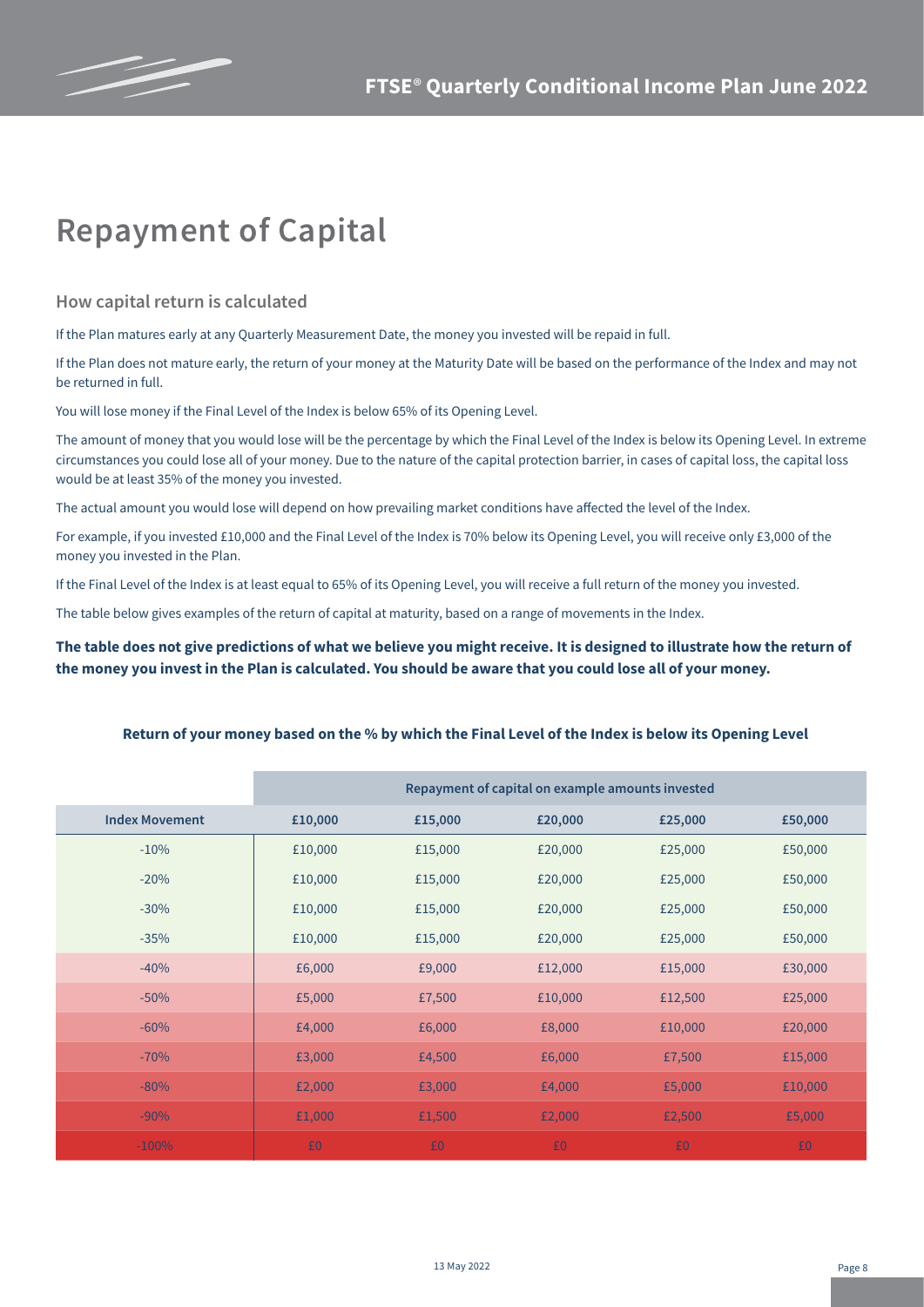

## **Repayment of Capital**

**How capital return is calculated**

If the Plan matures early at any Quarterly Measurement Date, the money you invested will be repaid in full.

If the Plan does not mature early, the return of your money at the Maturity Date will be based on the performance of the Index and may not be returned in full.

You will lose money if the Final Level of the Index is below 65% of its Opening Level.

The amount of money that you would lose will be the percentage by which the Final Level of the Index is below its Opening Level. In extreme circumstances you could lose all of your money. Due to the nature of the capital protection barrier, in cases of capital loss, the capital loss would be at least 35% of the money you invested.

The actual amount you would lose will depend on how prevailing market conditions have affected the level of the Index.

For example, if you invested £10,000 and the Final Level of the Index is 70% below its Opening Level, you will receive only £3,000 of the money you invested in the Plan.

If the Final Level of the Index is at least equal to 65% of its Opening Level, you will receive a full return of the money you invested.

The table below gives examples of the return of capital at maturity, based on a range of movements in the Index.

**The table does not give predictions of what we believe you might receive. It is designed to illustrate how the return of the money you invest in the Plan is calculated. You should be aware that you could lose all of your money.**

|  | Return of your money based on the % by which the Final Level of the Index is below its Opening Level |
|--|------------------------------------------------------------------------------------------------------|
|--|------------------------------------------------------------------------------------------------------|

|                       | Repayment of capital on example amounts invested |         |         |         |         |
|-----------------------|--------------------------------------------------|---------|---------|---------|---------|
| <b>Index Movement</b> | £10,000                                          | £15,000 | £20,000 | £25,000 | £50,000 |
| $-10%$                | £10,000                                          | £15,000 | £20,000 | £25,000 | £50,000 |
| $-20%$                | £10,000                                          | £15,000 | £20,000 | £25,000 | £50,000 |
| $-30%$                | £10,000                                          | £15,000 | £20,000 | £25,000 | £50,000 |
| $-35%$                | £10,000                                          | £15,000 | £20,000 | £25,000 | £50,000 |
| $-40%$                | £6,000                                           | £9,000  | £12,000 | £15,000 | £30,000 |
| $-50%$                | £5,000                                           | £7,500  | £10,000 | £12,500 | £25,000 |
| $-60%$                | £4,000                                           | £6,000  | £8,000  | £10,000 | £20,000 |
| $-70%$                | £3,000                                           | £4,500  | £6,000  | £7,500  | £15,000 |
| $-80%$                | £2,000                                           | £3,000  | £4,000  | £5,000  | £10,000 |
| $-90%$                | £1,000                                           | £1,500  | £2,000  | £2,500  | £5,000  |
| $-100%$               | £0                                               | £0      | £0      | £0      | £0      |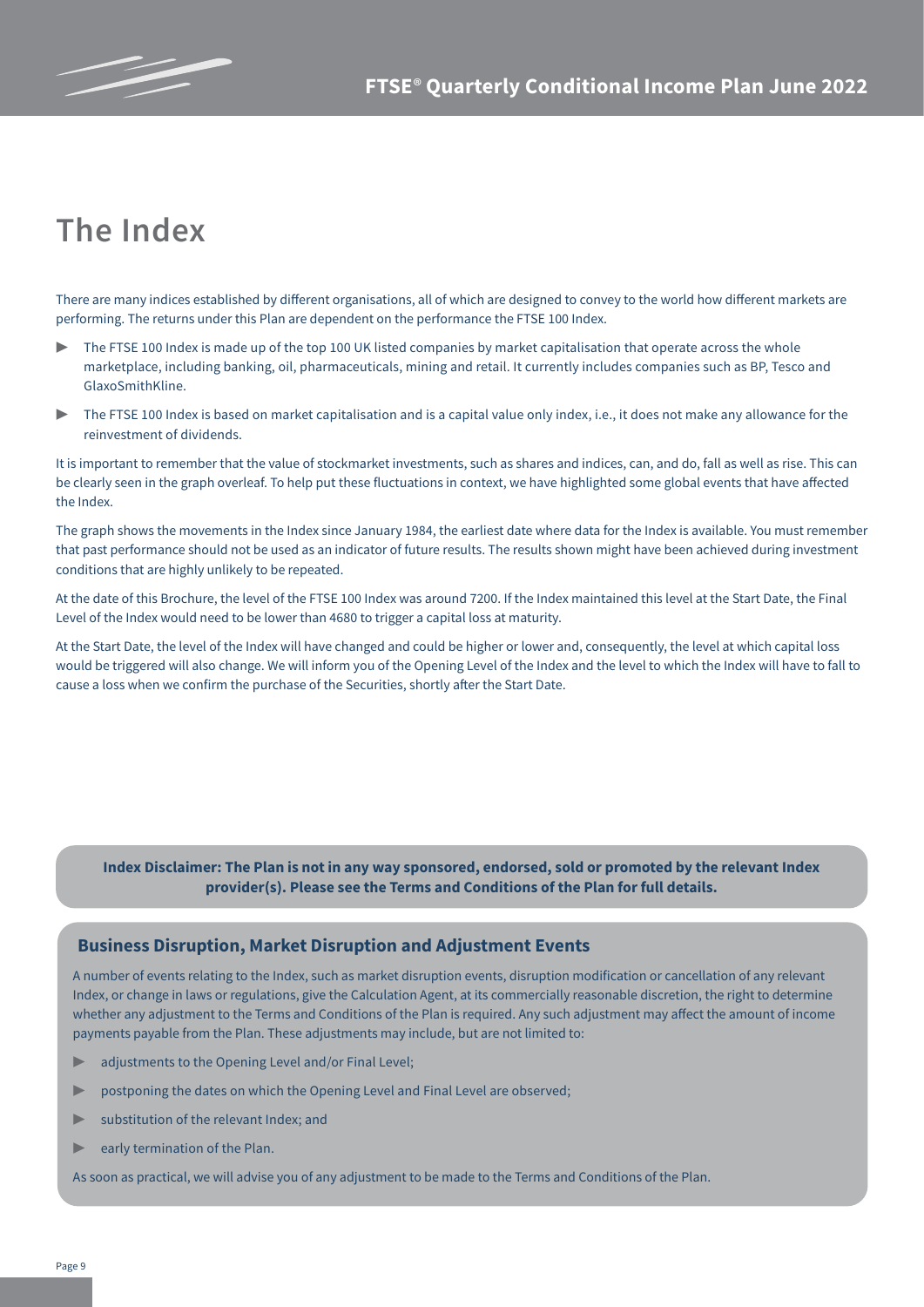# **The Index**

There are many indices established by different organisations, all of which are designed to convey to the world how different markets are performing. The returns under this Plan are dependent on the performance the FTSE 100 Index.

- The FTSE 100 Index is made up of the top 100 UK listed companies by market capitalisation that operate across the whole marketplace, including banking, oil, pharmaceuticals, mining and retail. It currently includes companies such as BP, Tesco and GlaxoSmithKline.
- The FTSE 100 Index is based on market capitalisation and is a capital value only index, i.e., it does not make any allowance for the reinvestment of dividends.

It is important to remember that the value of stockmarket investments, such as shares and indices, can, and do, fall as well as rise. This can be clearly seen in the graph overleaf. To help put these fluctuations in context, we have highlighted some global events that have affected the Index.

The graph shows the movements in the Index since January 1984, the earliest date where data for the Index is available. You must remember that past performance should not be used as an indicator of future results. The results shown might have been achieved during investment conditions that are highly unlikely to be repeated.

At the date of this Brochure, the level of the FTSE 100 Index was around 7200. If the Index maintained this level at the Start Date, the Final Level of the Index would need to be lower than 4680 to trigger a capital loss at maturity.

At the Start Date, the level of the Index will have changed and could be higher or lower and, consequently, the level at which capital loss would be triggered will also change. We will inform you of the Opening Level of the Index and the level to which the Index will have to fall to cause a loss when we confirm the purchase of the Securities, shortly after the Start Date.

**Index Disclaimer: The Plan is not in any way sponsored, endorsed, sold or promoted by the relevant Index provider(s). Please see the Terms and Conditions of the Plan for full details.** 

#### **Business Disruption, Market Disruption and Adjustment Events**

A number of events relating to the Index, such as market disruption events, disruption modification or cancellation of any relevant Index, or change in laws or regulations, give the Calculation Agent, at its commercially reasonable discretion, the right to determine whether any adjustment to the Terms and Conditions of the Plan is required. Any such adjustment may affect the amount of income payments payable from the Plan. These adjustments may include, but are not limited to:

- adjustments to the Opening Level and/or Final Level;
- postponing the dates on which the Opening Level and Final Level are observed;
- substitution of the relevant Index; and
- $\blacktriangleright$  early termination of the Plan.

As soon as practical, we will advise you of any adjustment to be made to the Terms and Conditions of the Plan.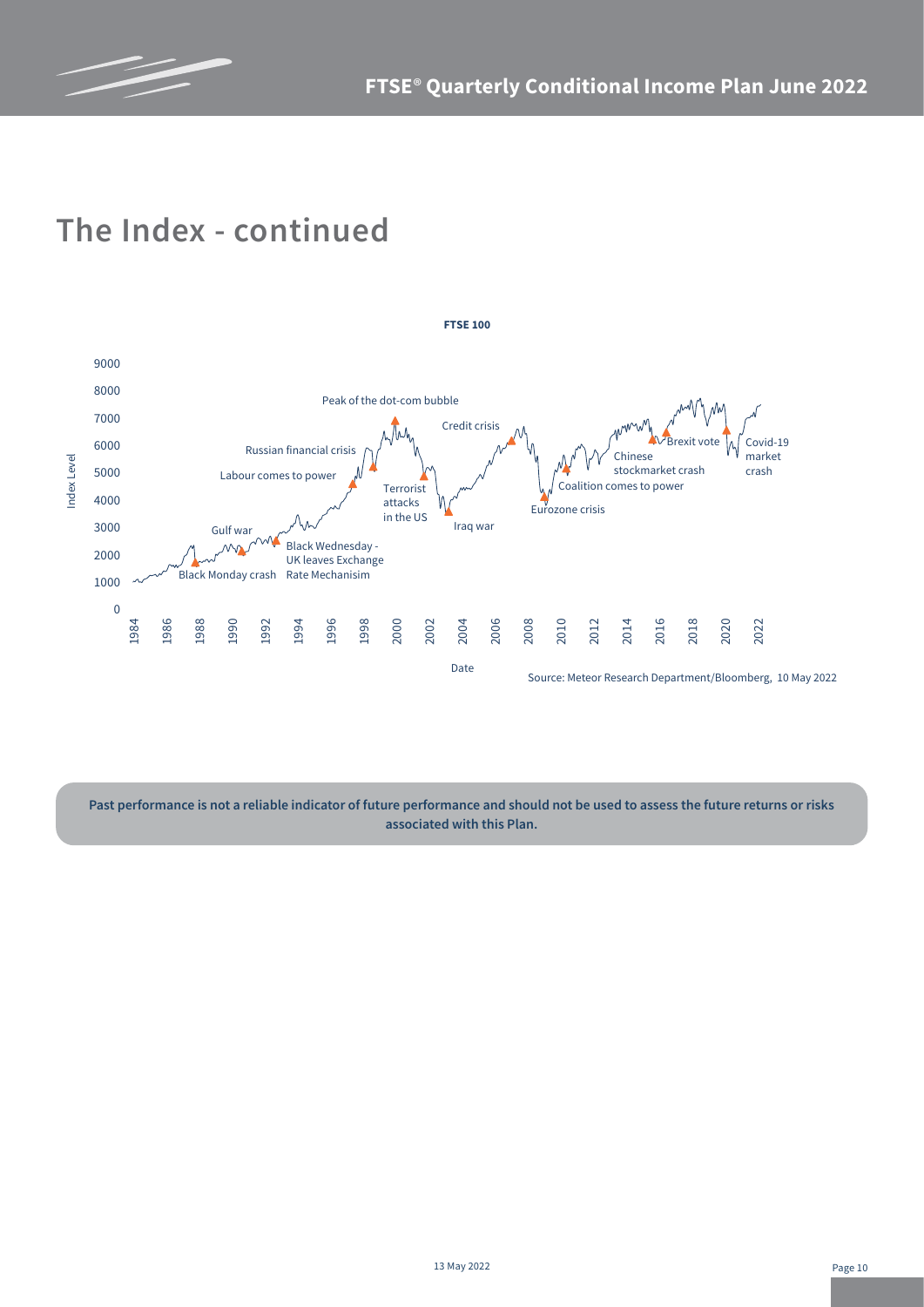

## **The Index - continued**



**Past performance is not a reliable indicator of future performance and should not be used to assess the future returns or risks associated with this Plan.**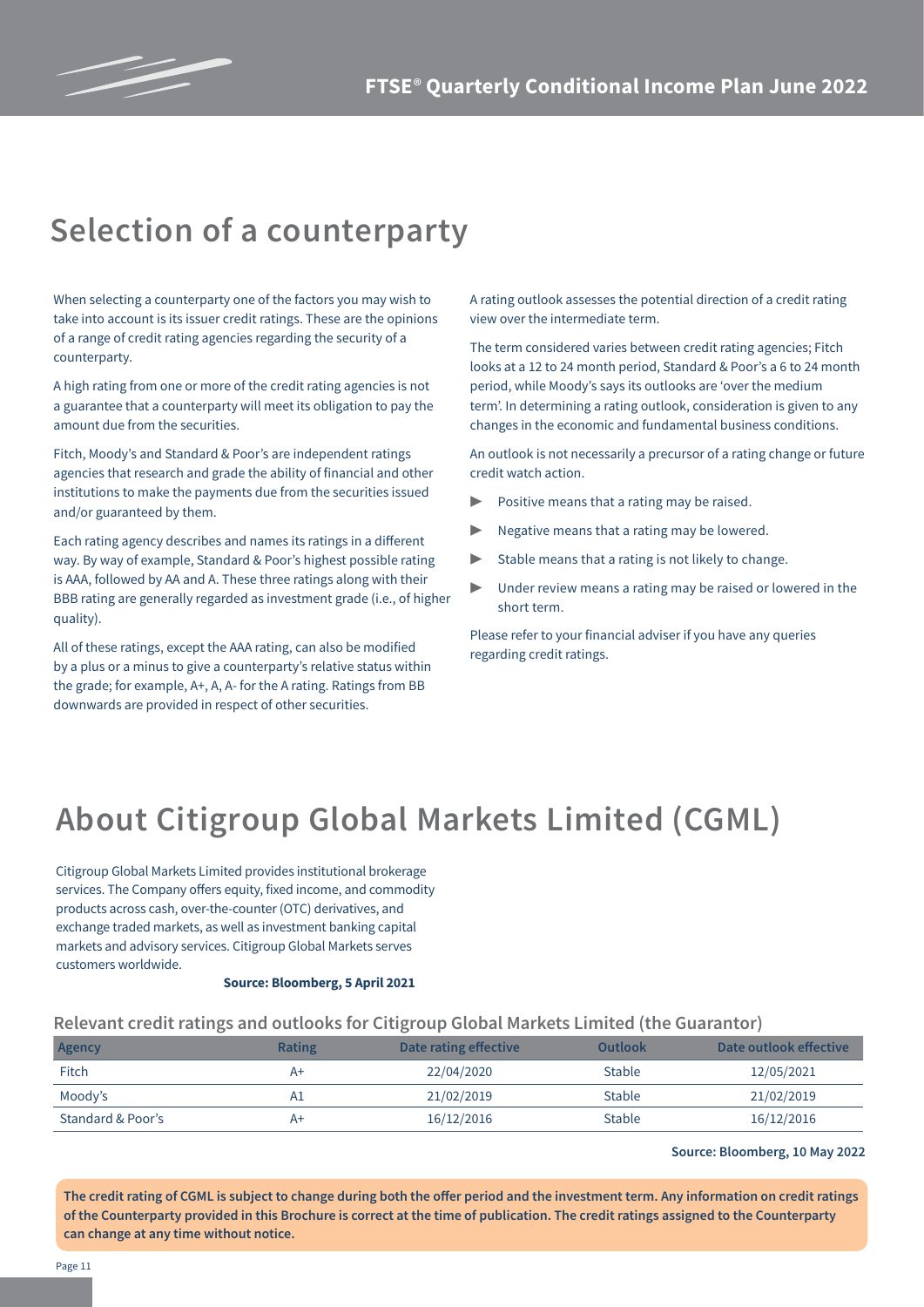

### **Selection of a counterparty**

When selecting a counterparty one of the factors you may wish to take into account is its issuer credit ratings. These are the opinions of a range of credit rating agencies regarding the security of a counterparty.

A high rating from one or more of the credit rating agencies is not a guarantee that a counterparty will meet its obligation to pay the amount due from the securities.

Fitch, Moody's and Standard & Poor's are independent ratings agencies that research and grade the ability of financial and other institutions to make the payments due from the securities issued and/or guaranteed by them.

Each rating agency describes and names its ratings in a different way. By way of example, Standard & Poor's highest possible rating is AAA, followed by AA and A. These three ratings along with their BBB rating are generally regarded as investment grade (i.e., of higher quality).

All of these ratings, except the AAA rating, can also be modified by a plus or a minus to give a counterparty's relative status within the grade; for example, A+, A, A- for the A rating. Ratings from BB downwards are provided in respect of other securities.

A rating outlook assesses the potential direction of a credit rating view over the intermediate term.

The term considered varies between credit rating agencies; Fitch looks at a 12 to 24 month period, Standard & Poor's a 6 to 24 month period, while Moody's says its outlooks are 'over the medium term'. In determining a rating outlook, consideration is given to any changes in the economic and fundamental business conditions.

An outlook is not necessarily a precursor of a rating change or future credit watch action.

- Positive means that a rating may be raised.
- Negative means that a rating may be lowered.
- ▶ Stable means that a rating is not likely to change.
- Under review means a rating may be raised or lowered in the short term.

Please refer to your financial adviser if you have any queries regarding credit ratings.

# **About Citigroup Global Markets Limited (CGML)**

Citigroup Global Markets Limited provides institutional brokerage services. The Company offers equity, fixed income, and commodity products across cash, over-the-counter (OTC) derivatives, and exchange traded markets, as well as investment banking capital markets and advisory services. Citigroup Global Markets serves customers worldwide.

#### **Source: Bloomberg, 5 April 2021**

#### **Relevant credit ratings and outlooks for Citigroup Global Markets Limited (the Guarantor)**

| Agency            | <b>Rating</b> | Date rating effective | Outlook       | Date outlook effective |
|-------------------|---------------|-----------------------|---------------|------------------------|
| Fitch             | A+            | 22/04/2020            | <b>Stable</b> | 12/05/2021             |
| Moody's           | A1            | 21/02/2019            | <b>Stable</b> | 21/02/2019             |
| Standard & Poor's | A+            | 16/12/2016            | <b>Stable</b> | 16/12/2016             |

#### **Source: Bloomberg, 10 May 2022**

**The credit rating of CGML is subject to change during both the offer period and the investment term. Any information on credit ratings of the Counterparty provided in this Brochure is correct at the time of publication. The credit ratings assigned to the Counterparty can change at any time without notice.**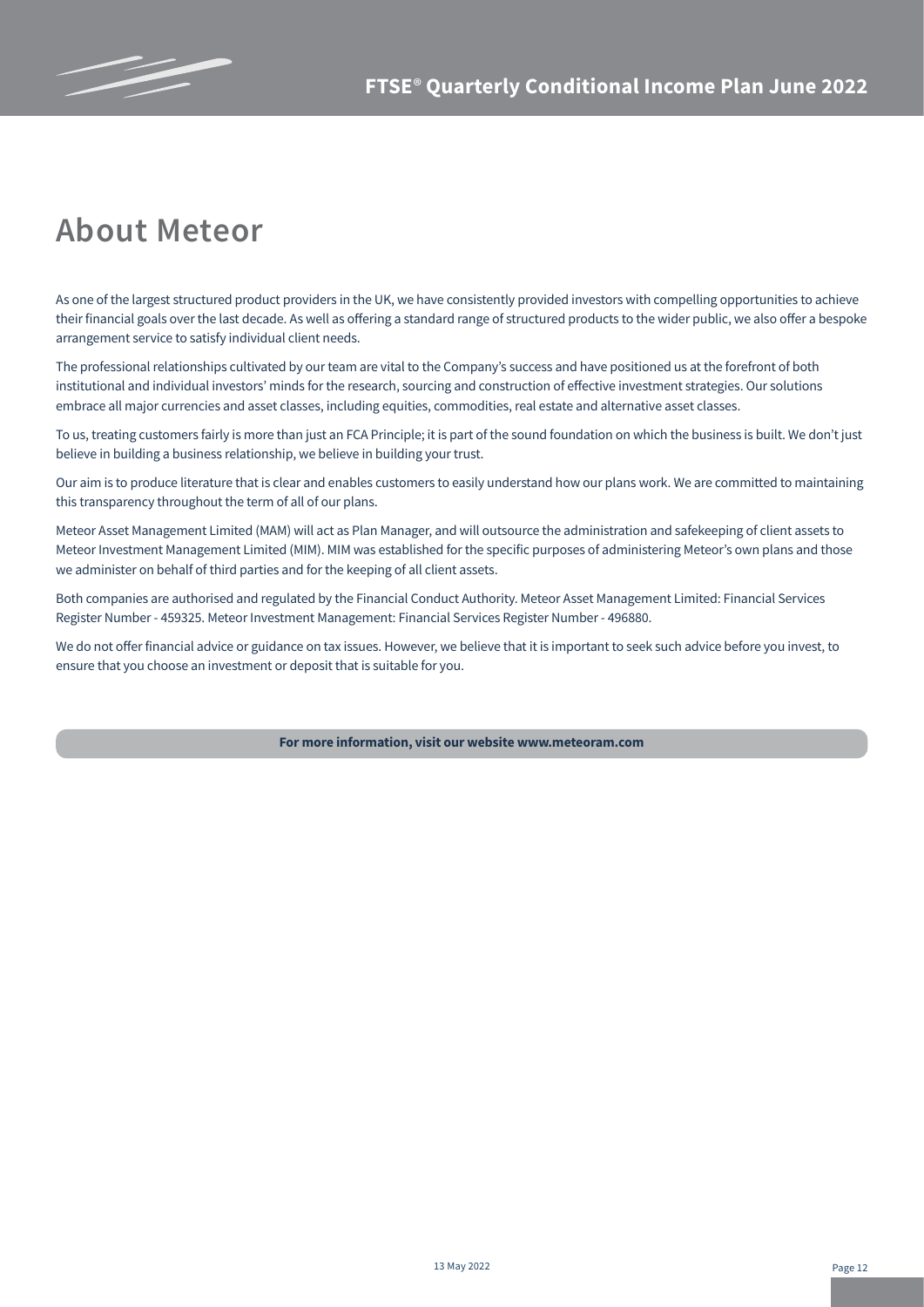

### **About Meteor**

As one of the largest structured product providers in the UK, we have consistently provided investors with compelling opportunities to achieve their financial goals over the last decade. As well as offering a standard range of structured products to the wider public, we also offer a bespoke arrangement service to satisfy individual client needs.

The professional relationships cultivated by our team are vital to the Company's success and have positioned us at the forefront of both institutional and individual investors' minds for the research, sourcing and construction of effective investment strategies. Our solutions embrace all major currencies and asset classes, including equities, commodities, real estate and alternative asset classes.

To us, treating customers fairly is more than just an FCA Principle; it is part of the sound foundation on which the business is built. We don't just believe in building a business relationship, we believe in building your trust.

Our aim is to produce literature that is clear and enables customers to easily understand how our plans work. We are committed to maintaining this transparency throughout the term of all of our plans.

Meteor Asset Management Limited (MAM) will act as Plan Manager, and will outsource the administration and safekeeping of client assets to Meteor Investment Management Limited (MIM). MIM was established for the specific purposes of administering Meteor's own plans and those we administer on behalf of third parties and for the keeping of all client assets.

Both companies are authorised and regulated by the Financial Conduct Authority. Meteor Asset Management Limited: Financial Services Register Number - 459325. Meteor Investment Management: Financial Services Register Number - 496880.

We do not offer financial advice or guidance on tax issues. However, we believe that it is important to seek such advice before you invest, to ensure that you choose an investment or deposit that is suitable for you.

**For more information, visit our website www.meteoram.com**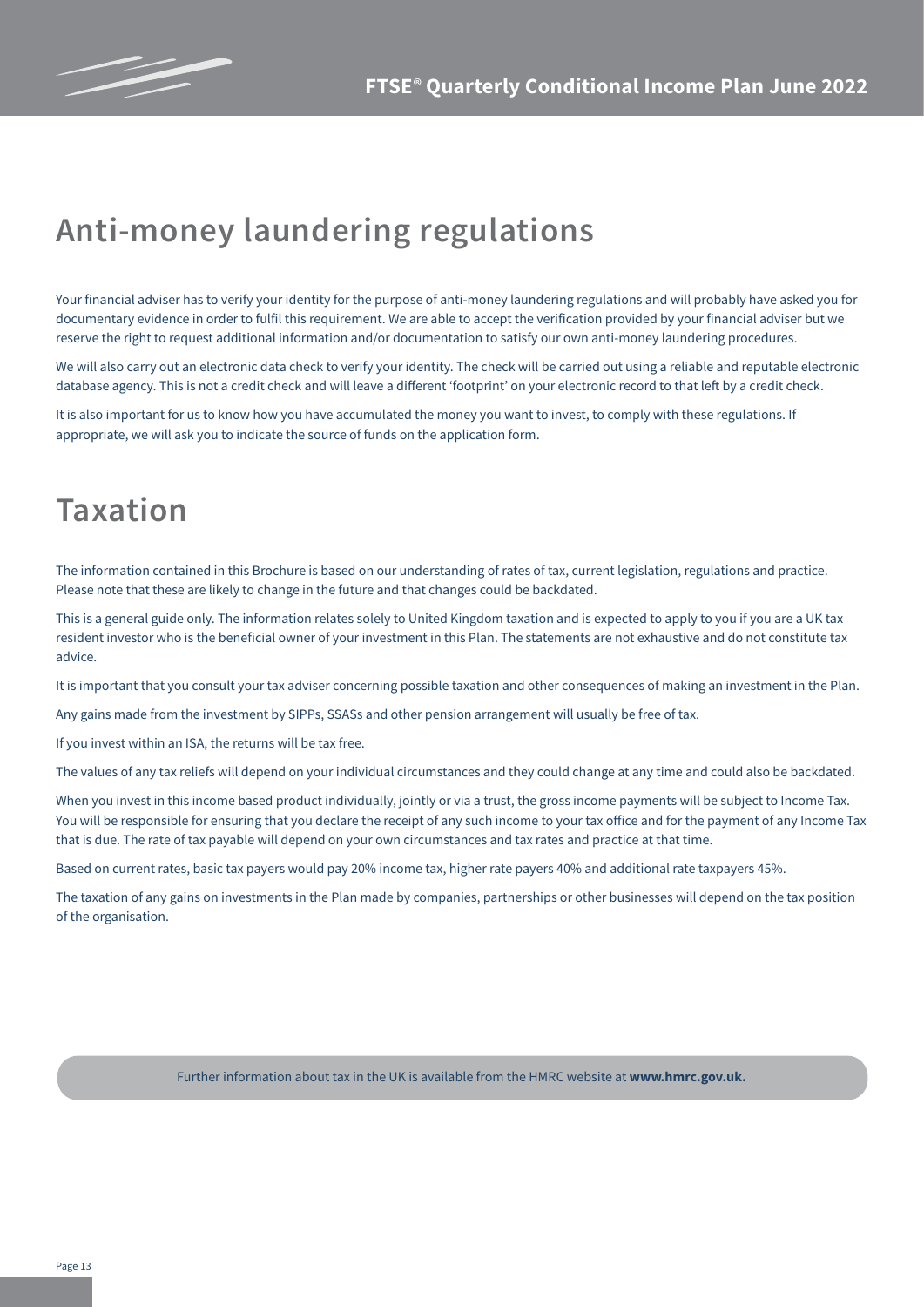

# **Anti-money laundering regulations**

Your financial adviser has to verify your identity for the purpose of anti-money laundering regulations and will probably have asked you for documentary evidence in order to fulfil this requirement. We are able to accept the verification provided by your financial adviser but we reserve the right to request additional information and/or documentation to satisfy our own anti-money laundering procedures.

We will also carry out an electronic data check to verify your identity. The check will be carried out using a reliable and reputable electronic database agency. This is not a credit check and will leave a different 'footprint' on your electronic record to that left by a credit check.

It is also important for us to know how you have accumulated the money you want to invest, to comply with these regulations. If appropriate, we will ask you to indicate the source of funds on the application form.

## **Taxation**

The information contained in this Brochure is based on our understanding of rates of tax, current legislation, regulations and practice. Please note that these are likely to change in the future and that changes could be backdated.

This is a general guide only. The information relates solely to United Kingdom taxation and is expected to apply to you if you are a UK tax resident investor who is the beneficial owner of your investment in this Plan. The statements are not exhaustive and do not constitute tax advice.

It is important that you consult your tax adviser concerning possible taxation and other consequences of making an investment in the Plan.

Any gains made from the investment by SIPPs, SSASs and other pension arrangement will usually be free of tax.

If you invest within an ISA, the returns will be tax free.

The values of any tax reliefs will depend on your individual circumstances and they could change at any time and could also be backdated.

When you invest in this income based product individually, jointly or via a trust, the gross income payments will be subject to Income Tax. You will be responsible for ensuring that you declare the receipt of any such income to your tax office and for the payment of any Income Tax that is due. The rate of tax payable will depend on your own circumstances and tax rates and practice at that time.

Based on current rates, basic tax payers would pay 20% income tax, higher rate payers 40% and additional rate taxpayers 45%.

The taxation of any gains on investments in the Plan made by companies, partnerships or other businesses will depend on the tax position of the organisation.

Further information about tax in the UK is available from the HMRC website at **www.hmrc.gov.uk.**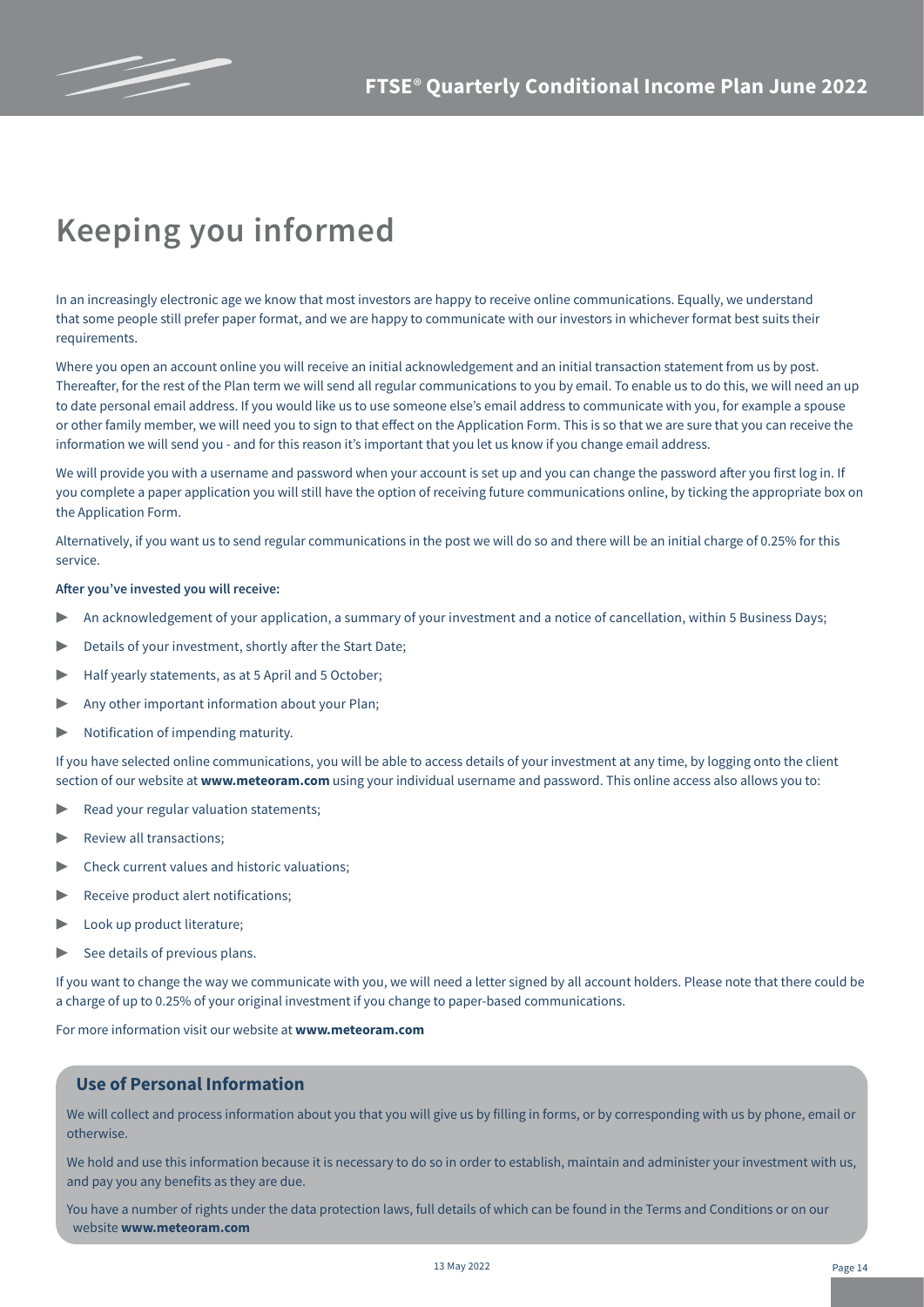

# **Keeping you informed**

In an increasingly electronic age we know that most investors are happy to receive online communications. Equally, we understand that some people still prefer paper format, and we are happy to communicate with our investors in whichever format best suits their requirements.

Where you open an account online you will receive an initial acknowledgement and an initial transaction statement from us by post. Thereafter, for the rest of the Plan term we will send all regular communications to you by email. To enable us to do this, we will need an up to date personal email address. If you would like us to use someone else's email address to communicate with you, for example a spouse or other family member, we will need you to sign to that effect on the Application Form. This is so that we are sure that you can receive the information we will send you - and for this reason it's important that you let us know if you change email address.

We will provide you with a username and password when your account is set up and you can change the password after you first log in. If you complete a paper application you will still have the option of receiving future communications online, by ticking the appropriate box on the Application Form.

Alternatively, if you want us to send regular communications in the post we will do so and there will be an initial charge of 0.25% for this service.

#### **After you've invested you will receive:**

- An acknowledgement of your application, a summary of your investment and a notice of cancellation, within 5 Business Days;
- Details of your investment, shortly after the Start Date:
- Half yearly statements, as at 5 April and 5 October;
- ▶ Any other important information about your Plan;
- ▶ Notification of impending maturity.

If you have selected online communications, you will be able to access details of your investment at any time, by logging onto the client section of our website at **www.meteoram.com** using your individual username and password. This online access also allows you to:

- Read your regular valuation statements;
- Review all transactions:
- Check current values and historic valuations;
- Receive product alert notifications;
- Look up product literature;
- $\triangleright$  See details of previous plans.

If you want to change the way we communicate with you, we will need a letter signed by all account holders. Please note that there could be a charge of up to 0.25% of your original investment if you change to paper-based communications.

For more information visit our website at **www.meteoram.com**

### **Use of Personal Information**

We will collect and process information about you that you will give us by filling in forms, or by corresponding with us by phone, email or otherwise.

We hold and use this information because it is necessary to do so in order to establish, maintain and administer your investment with us, and pay you any benefits as they are due.

You have a number of rights under the data protection laws, full details of which can be found in the Terms and Conditions or on our website **www.meteoram.com**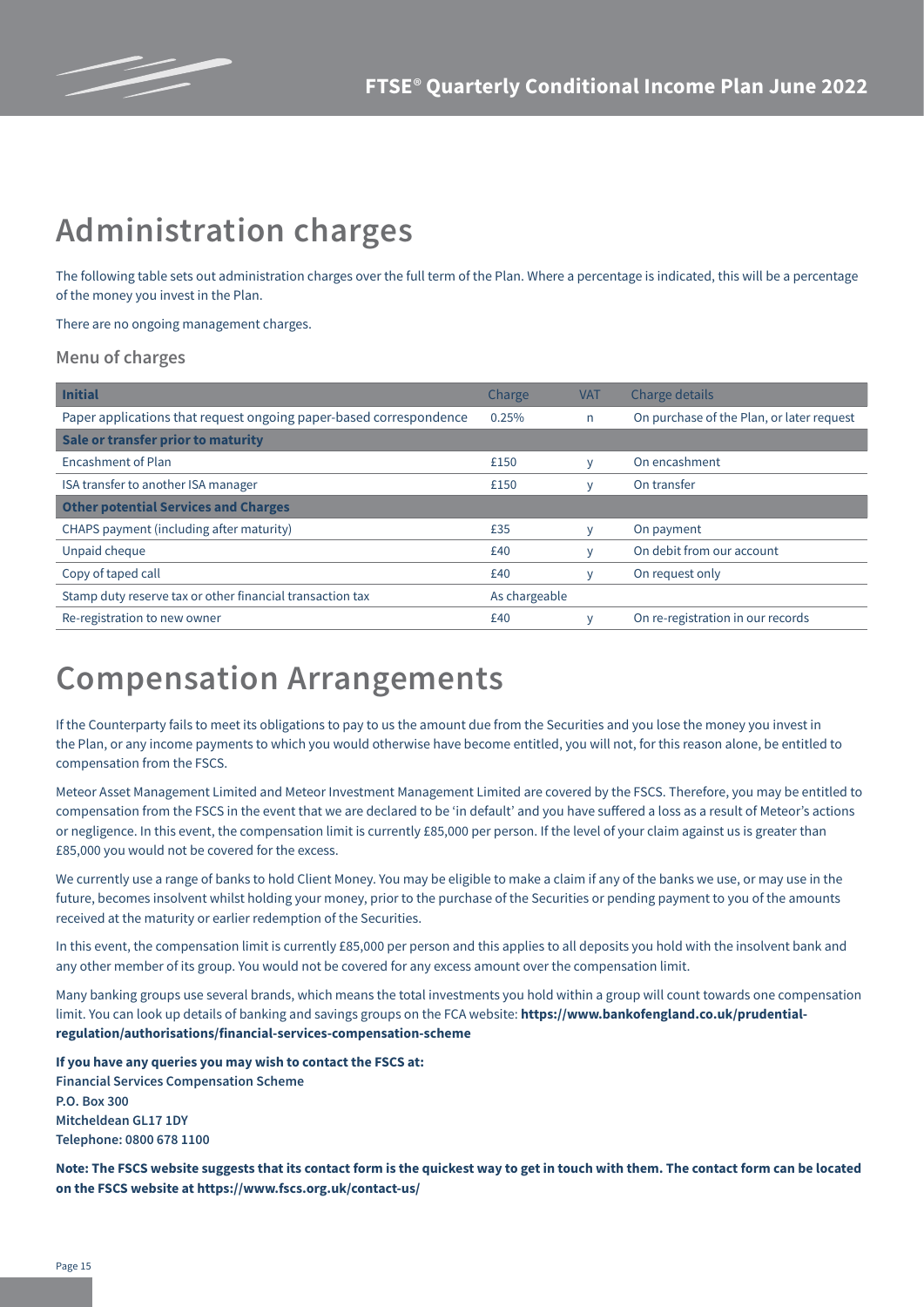

# **Administration charges**

The following table sets out administration charges over the full term of the Plan. Where a percentage is indicated, this will be a percentage of the money you invest in the Plan.

There are no ongoing management charges.

#### **Menu of charges**

| <b>Initial</b>                                                     | Charge        | <b>VAT</b> | Charge details                            |
|--------------------------------------------------------------------|---------------|------------|-------------------------------------------|
| Paper applications that request ongoing paper-based correspondence | 0.25%         | n          | On purchase of the Plan, or later request |
| Sale or transfer prior to maturity                                 |               |            |                                           |
| Encashment of Plan                                                 | £150          | v          | On encashment                             |
| ISA transfer to another ISA manager                                | £150          | ۷          | On transfer                               |
| <b>Other potential Services and Charges</b>                        |               |            |                                           |
| CHAPS payment (including after maturity)                           | £35           | V          | On payment                                |
| Unpaid cheque                                                      | £40           | V          | On debit from our account                 |
| Copy of taped call                                                 | £40           | V          | On request only                           |
| Stamp duty reserve tax or other financial transaction tax          | As chargeable |            |                                           |
| Re-registration to new owner                                       | £40           |            | On re-registration in our records         |

### **Compensation Arrangements**

If the Counterparty fails to meet its obligations to pay to us the amount due from the Securities and you lose the money you invest in the Plan, or any income payments to which you would otherwise have become entitled, you will not, for this reason alone, be entitled to compensation from the FSCS.

Meteor Asset Management Limited and Meteor Investment Management Limited are covered by the FSCS. Therefore, you may be entitled to compensation from the FSCS in the event that we are declared to be 'in default' and you have suffered a loss as a result of Meteor's actions or negligence. In this event, the compensation limit is currently £85,000 per person. If the level of your claim against us is greater than £85,000 you would not be covered for the excess.

We currently use a range of banks to hold Client Money. You may be eligible to make a claim if any of the banks we use, or may use in the future, becomes insolvent whilst holding your money, prior to the purchase of the Securities or pending payment to you of the amounts received at the maturity or earlier redemption of the Securities.

In this event, the compensation limit is currently £85,000 per person and this applies to all deposits you hold with the insolvent bank and any other member of its group. You would not be covered for any excess amount over the compensation limit.

Many banking groups use several brands, which means the total investments you hold within a group will count towards one compensation limit. You can look up details of banking and savings groups on the FCA website: **https://www.bankofengland.co.uk/prudentialregulation/authorisations/financial-services-compensation-scheme**

**If you have any queries you may wish to contact the FSCS at: Financial Services Compensation Scheme P.O. Box 300 Mitcheldean GL17 1DY Telephone: 0800 678 1100**

**Note: The FSCS website suggests that its contact form is the quickest way to get in touch with them. The contact form can be located on the FSCS website at https://www.fscs.org.uk/contact-us/**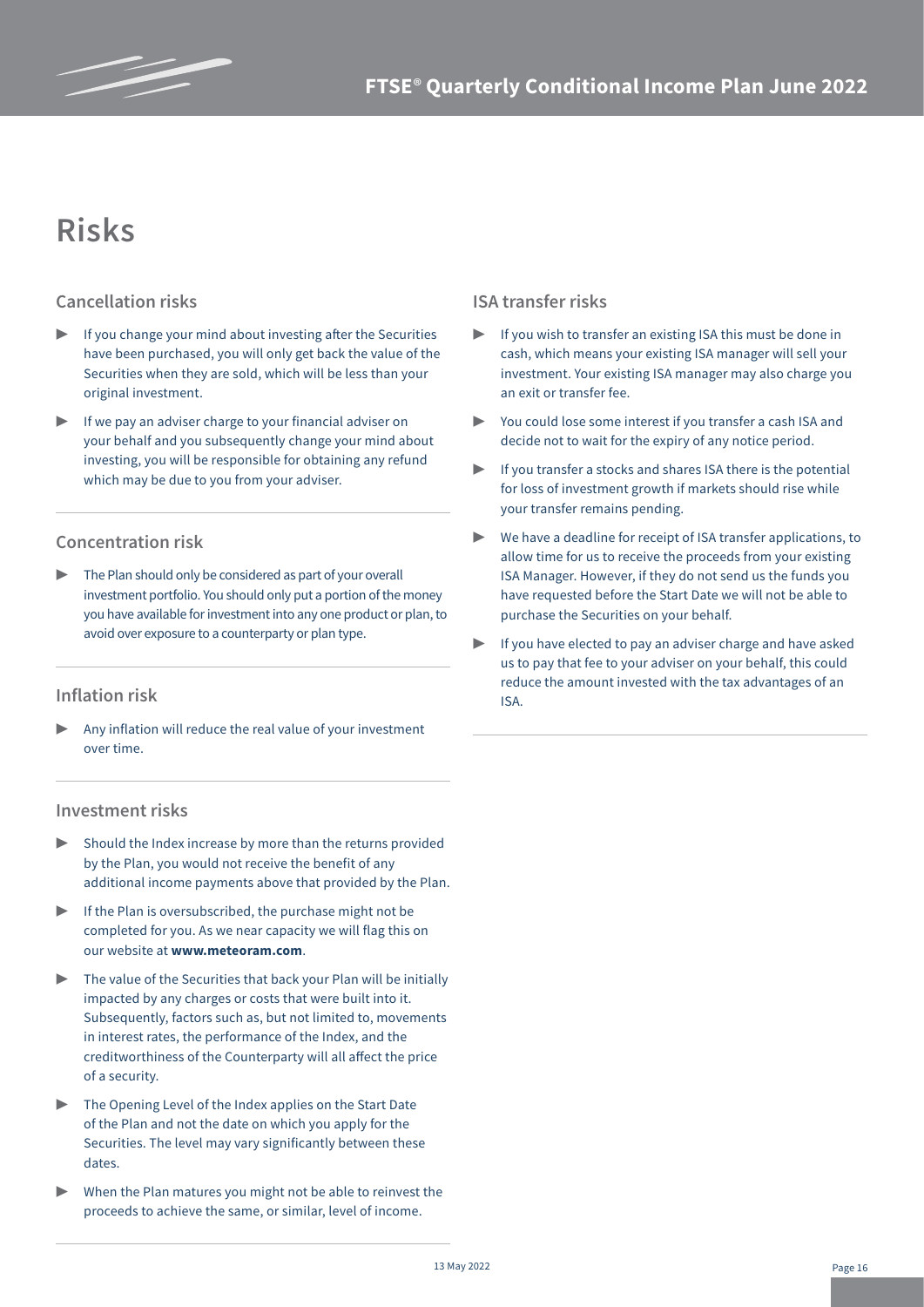# **Risks**

### **Cancellation risks**

- If you change your mind about investing after the Securities have been purchased, you will only get back the value of the Securities when they are sold, which will be less than your original investment.
- If we pay an adviser charge to your financial adviser on your behalf and you subsequently change your mind about investing, you will be responsible for obtaining any refund which may be due to you from your adviser.

### **Concentration risk**

The Plan should only be considered as part of your overall investment portfolio. You should only put a portion of the money you have available for investment into any one product or plan, to avoid over exposure to a counterparty or plan type.

### **Inflation risk**

Any inflation will reduce the real value of your investment over time.

### **Investment risks**

- $\triangleright$  Should the Index increase by more than the returns provided by the Plan, you would not receive the benefit of any additional income payments above that provided by the Plan.
- $\blacktriangleright$  If the Plan is oversubscribed, the purchase might not be completed for you. As we near capacity we will flag this on our website at **www.meteoram.com**.
- $\triangleright$  The value of the Securities that back your Plan will be initially impacted by any charges or costs that were built into it. Subsequently, factors such as, but not limited to, movements in interest rates, the performance of the Index, and the creditworthiness of the Counterparty will all affect the price of a security.
- ▶ The Opening Level of the Index applies on the Start Date of the Plan and not the date on which you apply for the Securities. The level may vary significantly between these dates.
- When the Plan matures you might not be able to reinvest the proceeds to achieve the same, or similar, level of income.

### **ISA transfer risks**

- If you wish to transfer an existing ISA this must be done in cash, which means your existing ISA manager will sell your investment. Your existing ISA manager may also charge you an exit or transfer fee.
- You could lose some interest if you transfer a cash ISA and decide not to wait for the expiry of any notice period.
- If you transfer a stocks and shares ISA there is the potential for loss of investment growth if markets should rise while your transfer remains pending.
- $\triangleright$  We have a deadline for receipt of ISA transfer applications, to allow time for us to receive the proceeds from your existing ISA Manager. However, if they do not send us the funds you have requested before the Start Date we will not be able to purchase the Securities on your behalf.
- If you have elected to pay an adviser charge and have asked us to pay that fee to your adviser on your behalf, this could reduce the amount invested with the tax advantages of an ISA.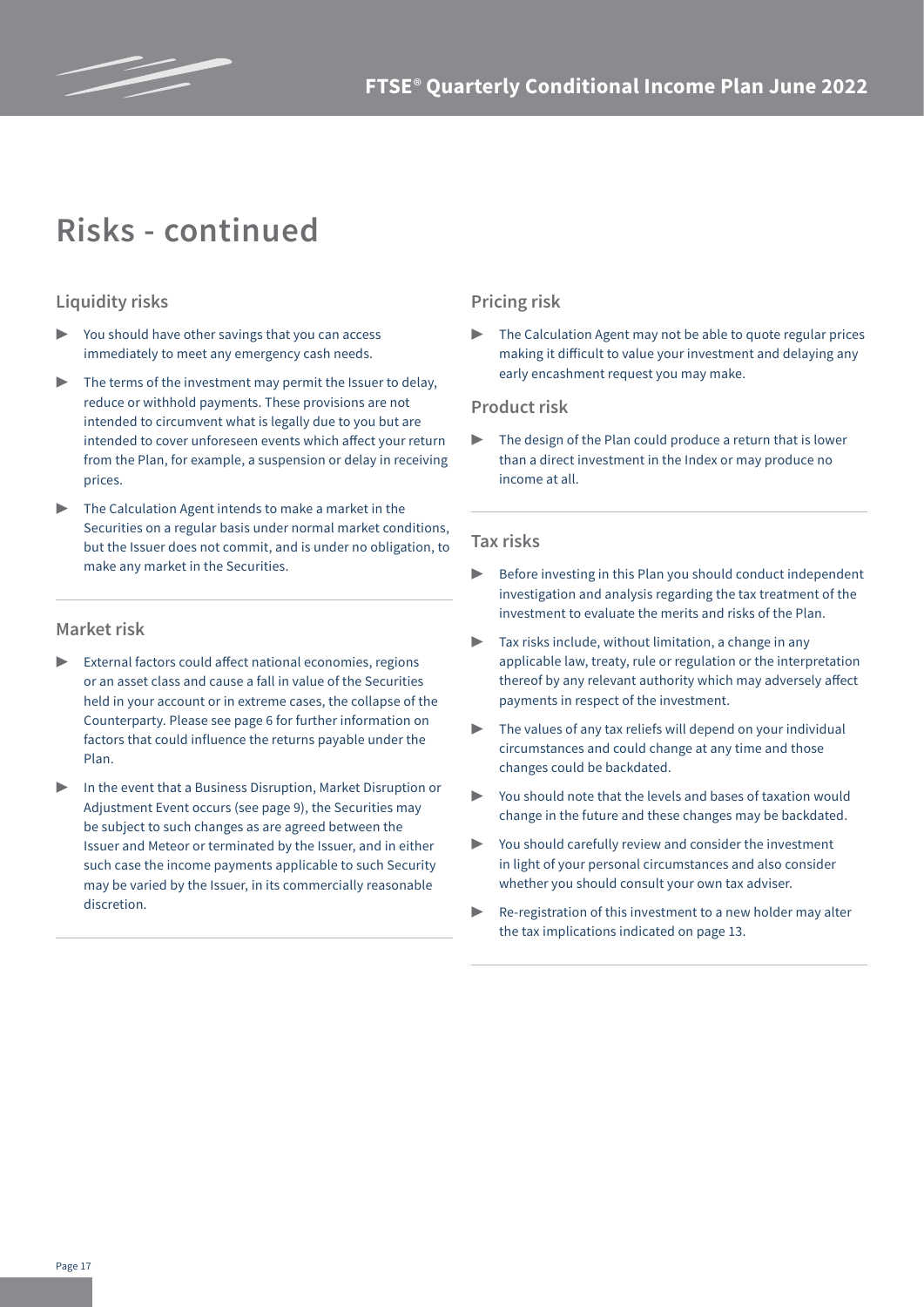

# **Risks - continued**

### **Liquidity risks**

- You should have other savings that you can access immediately to meet any emergency cash needs.
- The terms of the investment may permit the Issuer to delay, reduce or withhold payments. These provisions are not intended to circumvent what is legally due to you but are intended to cover unforeseen events which affect your return from the Plan, for example, a suspension or delay in receiving prices.
- The Calculation Agent intends to make a market in the Securities on a regular basis under normal market conditions, but the Issuer does not commit, and is under no obligation, to make any market in the Securities.

#### **Market risk**

- External factors could affect national economies, regions or an asset class and cause a fall in value of the Securities held in your account or in extreme cases, the collapse of the Counterparty. Please see page 6 for further information on factors that could influence the returns payable under the Plan.
- In the event that a Business Disruption, Market Disruption or Adjustment Event occurs (see page 9), the Securities may be subject to such changes as are agreed between the Issuer and Meteor or terminated by the Issuer, and in either such case the income payments applicable to such Security may be varied by the Issuer, in its commercially reasonable discretion.

#### **Pricing risk**

The Calculation Agent may not be able to quote regular prices making it difficult to value your investment and delaying any early encashment request you may make.

#### **Product risk**

The design of the Plan could produce a return that is lower than a direct investment in the Index or may produce no income at all.

#### **Tax risks**

- ▶ Before investing in this Plan you should conduct independent investigation and analysis regarding the tax treatment of the investment to evaluate the merits and risks of the Plan.
- $\blacktriangleright$  Tax risks include, without limitation, a change in any applicable law, treaty, rule or regulation or the interpretation thereof by any relevant authority which may adversely affect payments in respect of the investment.
- The values of any tax reliefs will depend on your individual circumstances and could change at any time and those changes could be backdated.
- You should note that the levels and bases of taxation would change in the future and these changes may be backdated.
- You should carefully review and consider the investment in light of your personal circumstances and also consider whether you should consult your own tax adviser.
- ▶ Re-registration of this investment to a new holder may alter the tax implications indicated on page 13.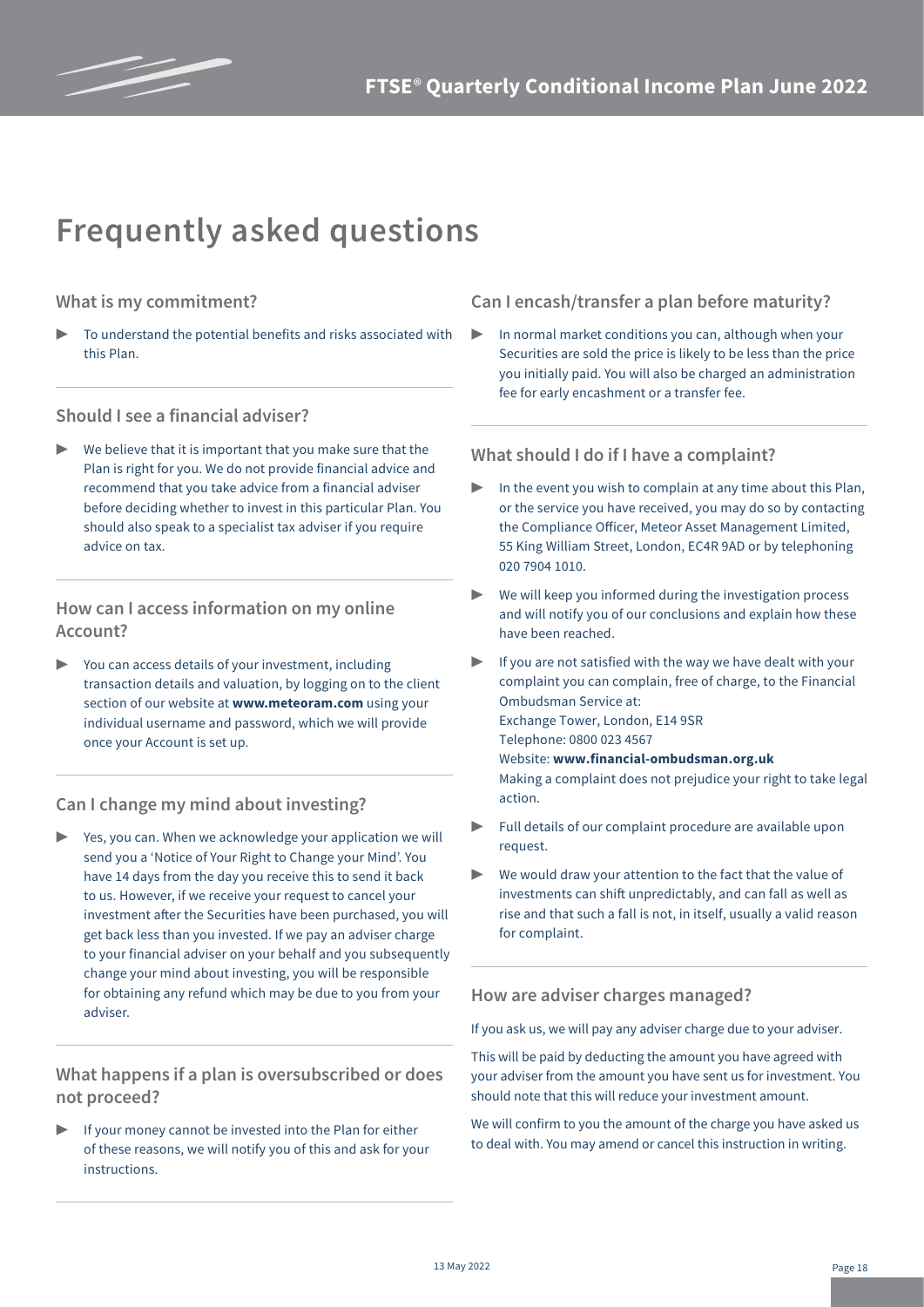

# **Frequently asked questions**

### **What is my commitment?**

To understand the potential benefits and risks associated with this Plan.

### **Should I see a financial adviser?**

We believe that it is important that you make sure that the Plan is right for you. We do not provide financial advice and recommend that you take advice from a financial adviser before deciding whether to invest in this particular Plan. You should also speak to a specialist tax adviser if you require advice on tax.

### **How can I access information on my online Account?**

You can access details of your investment, including transaction details and valuation, by logging on to the client section of our website at **www.meteoram.com** using your individual username and password, which we will provide once your Account is set up.

### **Can I change my mind about investing?**

Yes, you can. When we acknowledge your application we will send you a 'Notice of Your Right to Change your Mind'. You have 14 days from the day you receive this to send it back to us. However, if we receive your request to cancel your investment after the Securities have been purchased, you will get back less than you invested. If we pay an adviser charge to your financial adviser on your behalf and you subsequently change your mind about investing, you will be responsible for obtaining any refund which may be due to you from your adviser.

### **What happens if a plan is oversubscribed or does not proceed?**

If your money cannot be invested into the Plan for either of these reasons, we will notify you of this and ask for your instructions.

### **Can I encash/transfer a plan before maturity?**

In normal market conditions you can, although when your Securities are sold the price is likely to be less than the price you initially paid. You will also be charged an administration fee for early encashment or a transfer fee.

### **What should I do if I have a complaint?**

- In the event you wish to complain at any time about this Plan, or the service you have received, you may do so by contacting the Compliance Officer, Meteor Asset Management Limited, 55 King William Street, London, EC4R 9AD or by telephoning 020 7904 1010.
- ▶ We will keep you informed during the investigation process and will notify you of our conclusions and explain how these have been reached.
- If you are not satisfied with the way we have dealt with your complaint you can complain, free of charge, to the Financial Ombudsman Service at: Exchange Tower, London, E14 9SR Telephone: 0800 023 4567 Website: **www.financial-ombudsman.org.uk** Making a complaint does not prejudice your right to take legal action.
- Full details of our complaint procedure are available upon request.
- We would draw your attention to the fact that the value of investments can shift unpredictably, and can fall as well as rise and that such a fall is not, in itself, usually a valid reason for complaint.

### **How are adviser charges managed?**

If you ask us, we will pay any adviser charge due to your adviser.

This will be paid by deducting the amount you have agreed with your adviser from the amount you have sent us for investment. You should note that this will reduce your investment amount.

We will confirm to you the amount of the charge you have asked us to deal with. You may amend or cancel this instruction in writing.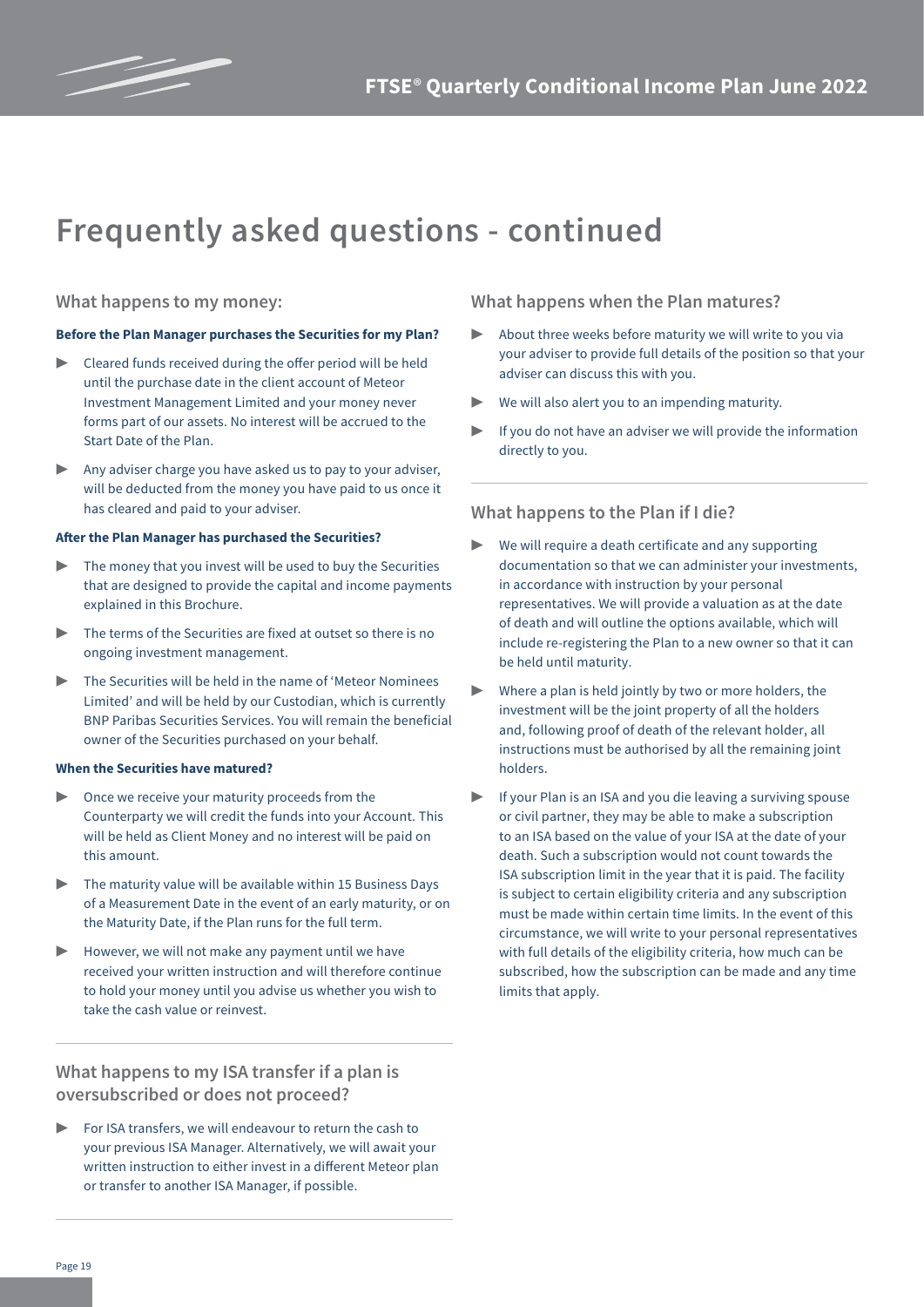

## **Frequently asked questions - continued**

#### **What happens to my money:**

#### **Before the Plan Manager purchases the Securities for my Plan?**

- ▶ Cleared funds received during the offer period will be held until the purchase date in the client account of Meteor Investment Management Limited and your money never forms part of our assets. No interest will be accrued to the Start Date of the Plan.
- Any adviser charge you have asked us to pay to your adviser, will be deducted from the money you have paid to us once it has cleared and paid to your adviser.

#### **After the Plan Manager has purchased the Securities?**

- $\triangleright$  The money that you invest will be used to buy the Securities that are designed to provide the capital and income payments explained in this Brochure.
- The terms of the Securities are fixed at outset so there is no ongoing investment management.
- The Securities will be held in the name of 'Meteor Nominees Limited' and will be held by our Custodian, which is currently BNP Paribas Securities Services. You will remain the beneficial owner of the Securities purchased on your behalf.

#### **When the Securities have matured?**

- Once we receive your maturity proceeds from the Counterparty we will credit the funds into your Account. This will be held as Client Money and no interest will be paid on this amount.
- The maturity value will be available within 15 Business Days of a Measurement Date in the event of an early maturity, or on the Maturity Date, if the Plan runs for the full term.
- $\blacktriangleright$  However, we will not make any payment until we have received your written instruction and will therefore continue to hold your money until you advise us whether you wish to take the cash value or reinvest.

**What happens to my ISA transfer if a plan is oversubscribed or does not proceed?**

For ISA transfers, we will endeavour to return the cash to your previous ISA Manager. Alternatively, we will await your written instruction to either invest in a different Meteor plan or transfer to another ISA Manager, if possible.

**What happens when the Plan matures?**

- About three weeks before maturity we will write to you via your adviser to provide full details of the position so that your adviser can discuss this with you.
- We will also alert you to an impending maturity.
- If you do not have an adviser we will provide the information directly to you.

#### **What happens to the Plan if I die?**

- ▶ We will require a death certificate and any supporting documentation so that we can administer your investments, in accordance with instruction by your personal representatives. We will provide a valuation as at the date of death and will outline the options available, which will include re-registering the Plan to a new owner so that it can be held until maturity.
- Where a plan is held jointly by two or more holders, the investment will be the joint property of all the holders and, following proof of death of the relevant holder, all instructions must be authorised by all the remaining joint holders.
- If your Plan is an ISA and you die leaving a surviving spouse or civil partner, they may be able to make a subscription to an ISA based on the value of your ISA at the date of your death. Such a subscription would not count towards the ISA subscription limit in the year that it is paid. The facility is subject to certain eligibility criteria and any subscription must be made within certain time limits. In the event of this circumstance, we will write to your personal representatives with full details of the eligibility criteria, how much can be subscribed, how the subscription can be made and any time limits that apply.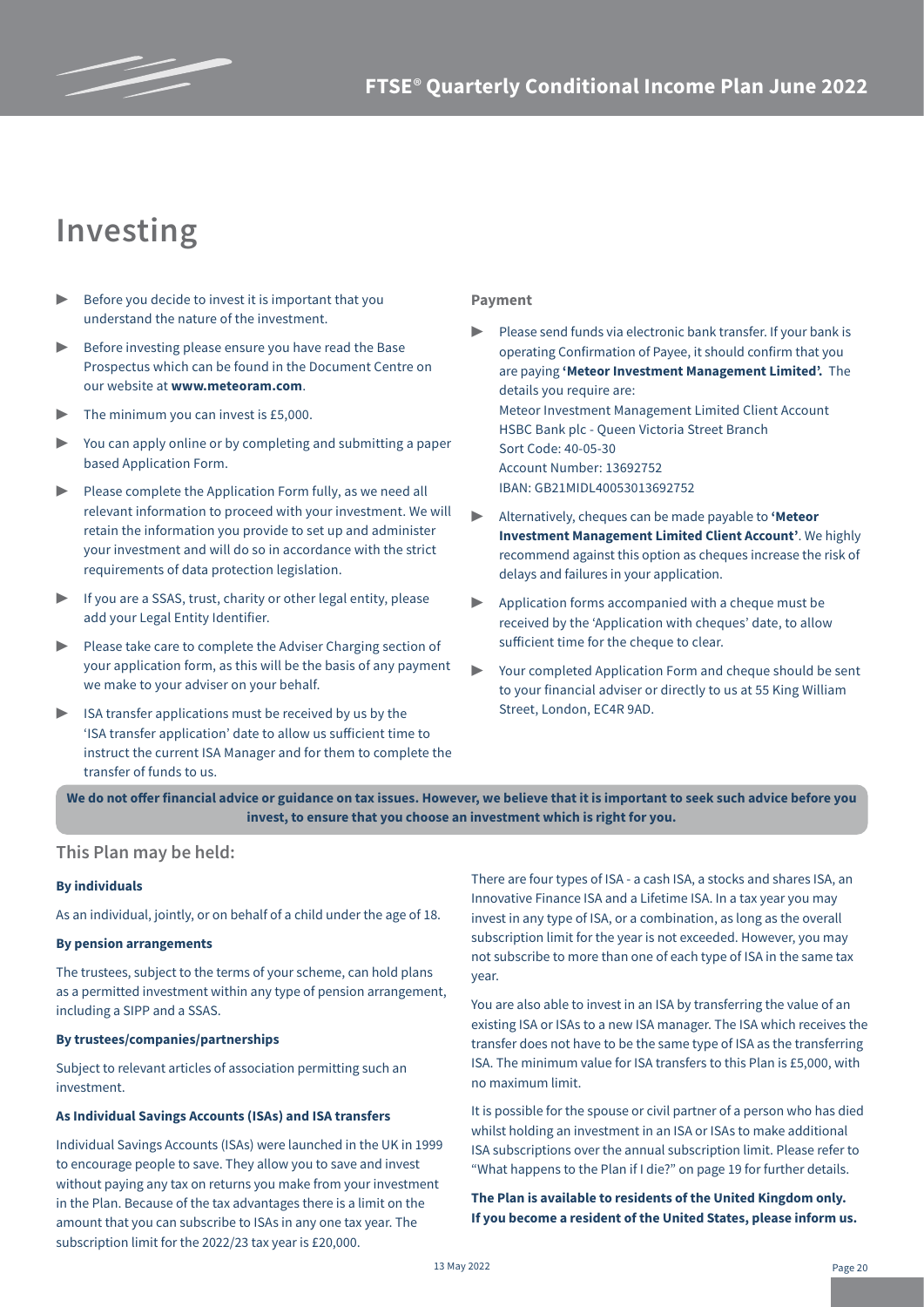

## **Investing**

- $\triangleright$  Before you decide to invest it is important that you understand the nature of the investment.
- Before investing please ensure you have read the Base Prospectus which can be found in the Document Centre on our website at **www.meteoram.com**.
- The minimum you can invest is £5,000.
- You can apply online or by completing and submitting a paper based Application Form.
- Please complete the Application Form fully, as we need all relevant information to proceed with your investment. We will retain the information you provide to set up and administer your investment and will do so in accordance with the strict requirements of data protection legislation.
- ▶ If you are a SSAS, trust, charity or other legal entity, please add your Legal Entity Identifier.
- ▶ Please take care to complete the Adviser Charging section of your application form, as this will be the basis of any payment we make to your adviser on your behalf.
- ISA transfer applications must be received by us by the 'ISA transfer application' date to allow us sufficient time to instruct the current ISA Manager and for them to complete the transfer of funds to us.

#### **Payment**

- Please send funds via electronic bank transfer. If your bank is operating Confirmation of Payee, it should confirm that you are paying **'Meteor Investment Management Limited'.** The details you require are: Meteor Investment Management Limited Client Account HSBC Bank plc - Queen Victoria Street Branch Sort Code: 40-05-30 Account Number: 13692752 IBAN: GB21MIDL40053013692752
- ▶ Alternatively, cheques can be made payable to **'Meteor Investment Management Limited Client Account'**. We highly recommend against this option as cheques increase the risk of delays and failures in your application.
- Application forms accompanied with a cheque must be received by the 'Application with cheques' date, to allow sufficient time for the cheque to clear.
- Your completed Application Form and cheque should be sent to your financial adviser or directly to us at 55 King William Street, London, EC4R 9AD.

**We do not offer financial advice or guidance on tax issues. However, we believe that it is important to seek such advice before you invest, to ensure that you choose an investment which is right for you.** 

#### **This Plan may be held:**

#### **By individuals**

As an individual, jointly, or on behalf of a child under the age of 18.

#### **By pension arrangements**

The trustees, subject to the terms of your scheme, can hold plans as a permitted investment within any type of pension arrangement, including a SIPP and a SSAS.

#### **By trustees/companies/partnerships**

Subject to relevant articles of association permitting such an investment.

#### **As Individual Savings Accounts (ISAs) and ISA transfers**

Individual Savings Accounts (ISAs) were launched in the UK in 1999 to encourage people to save. They allow you to save and invest without paying any tax on returns you make from your investment in the Plan. Because of the tax advantages there is a limit on the amount that you can subscribe to ISAs in any one tax year. The subscription limit for the 2022/23 tax year is £20,000.

There are four types of ISA - a cash ISA, a stocks and shares ISA, an Innovative Finance ISA and a Lifetime ISA. In a tax year you may invest in any type of ISA, or a combination, as long as the overall subscription limit for the year is not exceeded. However, you may not subscribe to more than one of each type of ISA in the same tax year.

You are also able to invest in an ISA by transferring the value of an existing ISA or ISAs to a new ISA manager. The ISA which receives the transfer does not have to be the same type of ISA as the transferring ISA. The minimum value for ISA transfers to this Plan is £5,000, with no maximum limit.

It is possible for the spouse or civil partner of a person who has died whilst holding an investment in an ISA or ISAs to make additional ISA subscriptions over the annual subscription limit. Please refer to "What happens to the Plan if I die?" on page 19 for further details.

**The Plan is available to residents of the United Kingdom only. If you become a resident of the United States, please inform us.**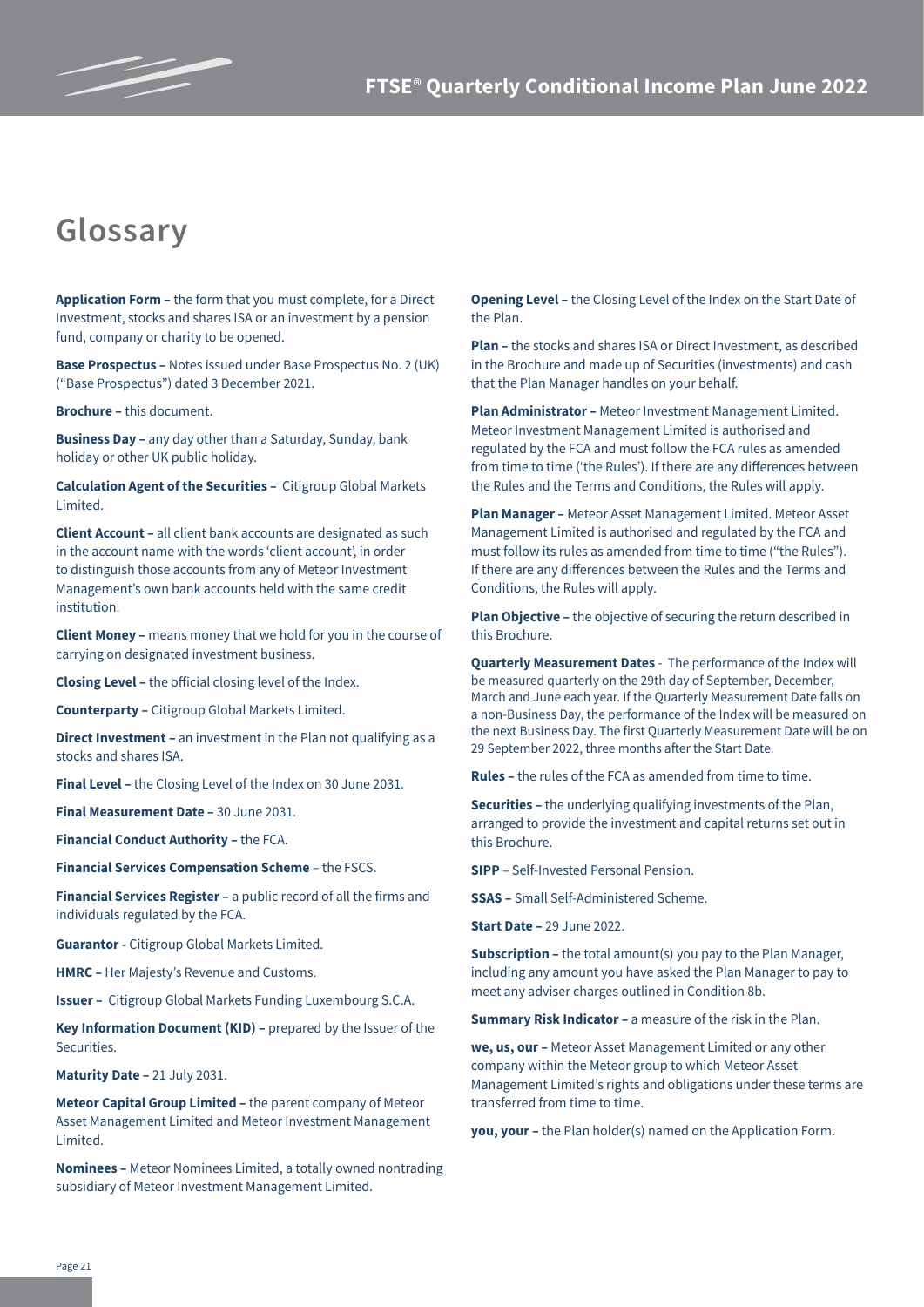

# **Glossary**

**Application Form –** the form that you must complete, for a Direct Investment, stocks and shares ISA or an investment by a pension fund, company or charity to be opened.

**Base Prospectus –** Notes issued under Base Prospectus No. 2 (UK) ("Base Prospectus") dated 3 December 2021.

**Brochure –** this document.

**Business Day –** any day other than a Saturday, Sunday, bank holiday or other UK public holiday.

**Calculation Agent of the Securities –** Citigroup Global Markets Limited.

**Client Account –** all client bank accounts are designated as such in the account name with the words 'client account', in order to distinguish those accounts from any of Meteor Investment Management's own bank accounts held with the same credit institution.

**Client Money –** means money that we hold for you in the course of carrying on designated investment business.

**Closing Level –** the official closing level of the Index.

**Counterparty –** Citigroup Global Markets Limited.

**Direct Investment –** an investment in the Plan not qualifying as a stocks and shares ISA.

**Final Level –** the Closing Level of the Index on 30 June 2031.

**Final Measurement Date –** 30 June 2031.

**Financial Conduct Authority –** the FCA.

**Financial Services Compensation Scheme** – the FSCS.

**Financial Services Register –** a public record of all the firms and individuals regulated by the FCA.

**Guarantor -** Citigroup Global Markets Limited.

**HMRC –** Her Majesty's Revenue and Customs.

**Issuer –** Citigroup Global Markets Funding Luxembourg S.C.A.

**Key Information Document (KID)** – prepared by the Issuer of the Securities.

**Maturity Date –** 21 July 2031.

**Meteor Capital Group Limited –** the parent company of Meteor Asset Management Limited and Meteor Investment Management Limited.

**Nominees –** Meteor Nominees Limited, a totally owned nontrading subsidiary of Meteor Investment Management Limited.

**Opening Level –** the Closing Level of the Index on the Start Date of the Plan.

**Plan –** the stocks and shares ISA or Direct Investment, as described in the Brochure and made up of Securities (investments) and cash that the Plan Manager handles on your behalf.

**Plan Administrator –** Meteor Investment Management Limited. Meteor Investment Management Limited is authorised and regulated by the FCA and must follow the FCA rules as amended from time to time ('the Rules'). If there are any differences between the Rules and the Terms and Conditions, the Rules will apply.

**Plan Manager –** Meteor Asset Management Limited. Meteor Asset Management Limited is authorised and regulated by the FCA and must follow its rules as amended from time to time ("the Rules"). If there are any differences between the Rules and the Terms and Conditions, the Rules will apply.

**Plan Objective –** the objective of securing the return described in this Brochure.

**Quarterly Measurement Dates** - The performance of the Index will be measured quarterly on the 29th day of September, December, March and June each year. If the Quarterly Measurement Date falls on a non-Business Day, the performance of the Index will be measured on the next Business Day. The first Quarterly Measurement Date will be on 29 September 2022, three months after the Start Date.

**Rules –** the rules of the FCA as amended from time to time.

**Securities –** the underlying qualifying investments of the Plan, arranged to provide the investment and capital returns set out in this Brochure.

**SIPP** – Self-Invested Personal Pension.

**SSAS –** Small Self-Administered Scheme.

**Start Date –** 29 June 2022.

**Subscription - the total amount(s) you pay to the Plan Manager,** including any amount you have asked the Plan Manager to pay to meet any adviser charges outlined in Condition 8b.

**Summary Risk Indicator –** a measure of the risk in the Plan.

**we, us, our –** Meteor Asset Management Limited or any other company within the Meteor group to which Meteor Asset Management Limited's rights and obligations under these terms are transferred from time to time.

**you, your –** the Plan holder(s) named on the Application Form.